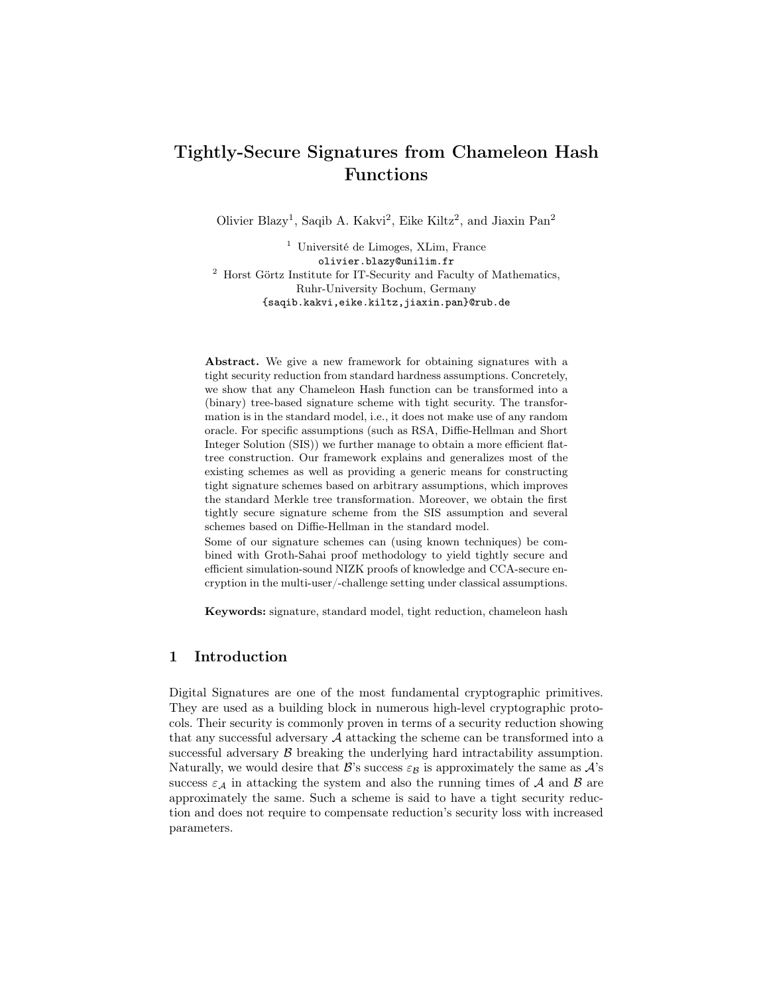# Tightly-Secure Signatures from Chameleon Hash Functions

Olivier Blazy<sup>1</sup>, Saqib A. Kakvi<sup>2</sup>, Eike Kiltz<sup>2</sup>, and Jiaxin Pan<sup>2</sup>

<sup>1</sup> Université de Limoges, XLim, France olivier.blazy@unilim.fr  $^{\rm 2}$  Horst Görtz Institute for IT-Security and Faculty of Mathematics, Ruhr-University Bochum, Germany {saqib.kakvi,eike.kiltz,jiaxin.pan}@rub.de

Abstract. We give a new framework for obtaining signatures with a tight security reduction from standard hardness assumptions. Concretely, we show that any Chameleon Hash function can be transformed into a (binary) tree-based signature scheme with tight security. The transformation is in the standard model, i.e., it does not make use of any random oracle. For specific assumptions (such as RSA, Diffie-Hellman and Short Integer Solution (SIS)) we further manage to obtain a more efficient flattree construction. Our framework explains and generalizes most of the existing schemes as well as providing a generic means for constructing tight signature schemes based on arbitrary assumptions, which improves the standard Merkle tree transformation. Moreover, we obtain the first tightly secure signature scheme from the SIS assumption and several schemes based on Diffie-Hellman in the standard model.

Some of our signature schemes can (using known techniques) be combined with Groth-Sahai proof methodology to yield tightly secure and efficient simulation-sound NIZK proofs of knowledge and CCA-secure encryption in the multi-user/-challenge setting under classical assumptions.

Keywords: signature, standard model, tight reduction, chameleon hash

# 1 Introduction

Digital Signatures are one of the most fundamental cryptographic primitives. They are used as a building block in numerous high-level cryptographic protocols. Their security is commonly proven in terms of a security reduction showing that any successful adversary  $A$  attacking the scheme can be transformed into a successful adversary  $\beta$  breaking the underlying hard intractability assumption. Naturally, we would desire that  $\mathcal{B}'s$  success  $\varepsilon_{\mathcal{B}}$  is approximately the same as  $\mathcal{A}'s$ success  $\varepsilon_A$  in attacking the system and also the running times of A and B are approximately the same. Such a scheme is said to have a tight security reduction and does not require to compensate reduction's security loss with increased parameters.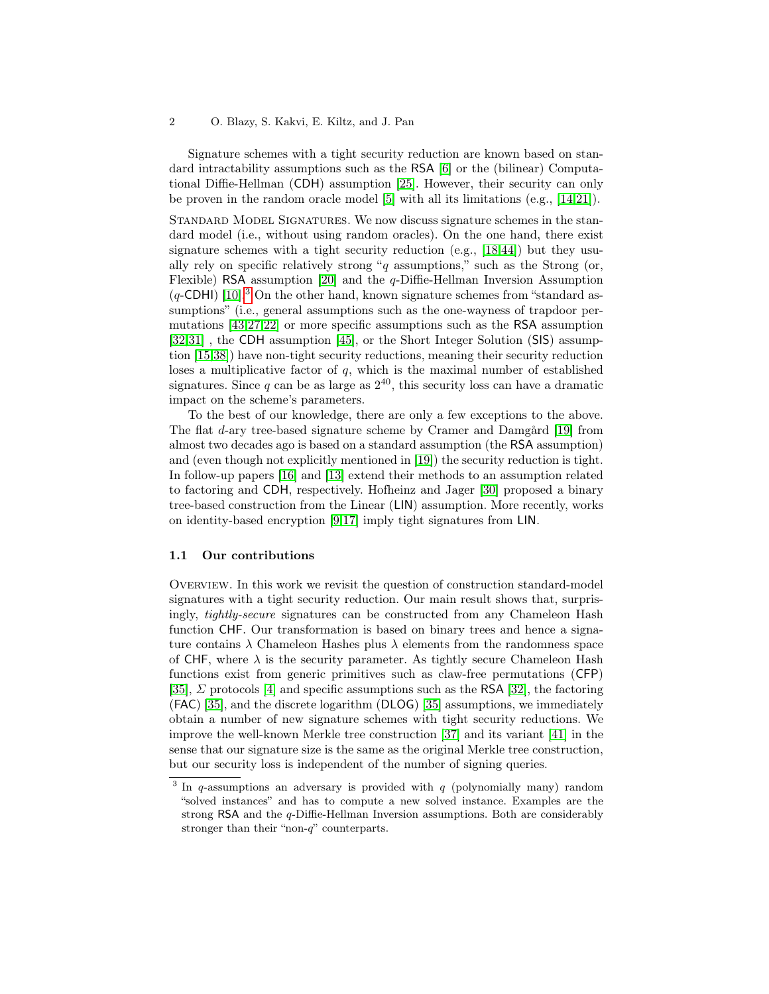#### 2 O. Blazy, S. Kakvi, E. Kiltz, and J. Pan

Signature schemes with a tight security reduction are known based on standard intractability assumptions such as the RSA [\[6\]](#page-16-0) or the (bilinear) Computational Diffie-Hellman (CDH) assumption [\[25\]](#page-17-0). However, their security can only be proven in the random oracle model [\[5\]](#page-16-1) with all its limitations (e.g., [\[14,](#page-16-2)[21\]](#page-16-3)).

Standard Model Signatures. We now discuss signature schemes in the standard model (i.e., without using random oracles). On the one hand, there exist signature schemes with a tight security reduction (e.g., [\[18,](#page-16-4)[44\]](#page-18-0)) but they usually rely on specific relatively strong " $q$  assumptions," such as the Strong (or, Flexible) RSA assumption [\[20\]](#page-16-5) and the q-Diffie-Hellman Inversion Assumption  $(q$ -CDHI) [\[10\]](#page-16-6).<sup>[3](#page-1-0)</sup> On the other hand, known signature schemes from "standard assumptions" (i.e., general assumptions such as the one-wayness of trapdoor permutations [\[43,](#page-18-1)[27](#page-17-1)[,22\]](#page-17-2) or more specific assumptions such as the RSA assumption [\[32](#page-17-3)[,31\]](#page-17-4) , the CDH assumption [\[45\]](#page-18-2), or the Short Integer Solution (SIS) assumption [\[15](#page-16-7)[,38\]](#page-17-5)) have non-tight security reductions, meaning their security reduction loses a multiplicative factor of  $q$ , which is the maximal number of established signatures. Since  $q$  can be as large as  $2^{40}$ , this security loss can have a dramatic impact on the scheme's parameters.

To the best of our knowledge, there are only a few exceptions to the above. The flat d-ary tree-based signature scheme by Cramer and Damgård [\[19\]](#page-16-8) from almost two decades ago is based on a standard assumption (the RSA assumption) and (even though not explicitly mentioned in [\[19\]](#page-16-8)) the security reduction is tight. In follow-up papers [\[16\]](#page-16-9) and [\[13\]](#page-16-10) extend their methods to an assumption related to factoring and CDH, respectively. Hofheinz and Jager [\[30\]](#page-17-6) proposed a binary tree-based construction from the Linear (LIN) assumption. More recently, works on identity-based encryption [\[9](#page-16-11)[,17\]](#page-16-12) imply tight signatures from LIN.

#### 1.1 Our contributions

OVERVIEW. In this work we revisit the question of construction standard-model signatures with a tight security reduction. Our main result shows that, surprisingly, tightly-secure signatures can be constructed from any Chameleon Hash function CHF. Our transformation is based on binary trees and hence a signature contains  $\lambda$  Chameleon Hashes plus  $\lambda$  elements from the randomness space of CHF, where  $\lambda$  is the security parameter. As tightly secure Chameleon Hash functions exist from generic primitives such as claw-free permutations (CFP) [\[35\]](#page-17-7),  $\Sigma$  protocols [\[4\]](#page-16-13) and specific assumptions such as the RSA [\[32\]](#page-17-3), the factoring (FAC) [\[35\]](#page-17-7), and the discrete logarithm (DLOG) [\[35\]](#page-17-7) assumptions, we immediately obtain a number of new signature schemes with tight security reductions. We improve the well-known Merkle tree construction [\[37\]](#page-17-8) and its variant [\[41\]](#page-18-3) in the sense that our signature size is the same as the original Merkle tree construction, but our security loss is independent of the number of signing queries.

<span id="page-1-0"></span><sup>&</sup>lt;sup>3</sup> In q-assumptions an adversary is provided with  $q$  (polynomially many) random "solved instances" and has to compute a new solved instance. Examples are the strong RSA and the q-Diffie-Hellman Inversion assumptions. Both are considerably stronger than their "non-q" counterparts.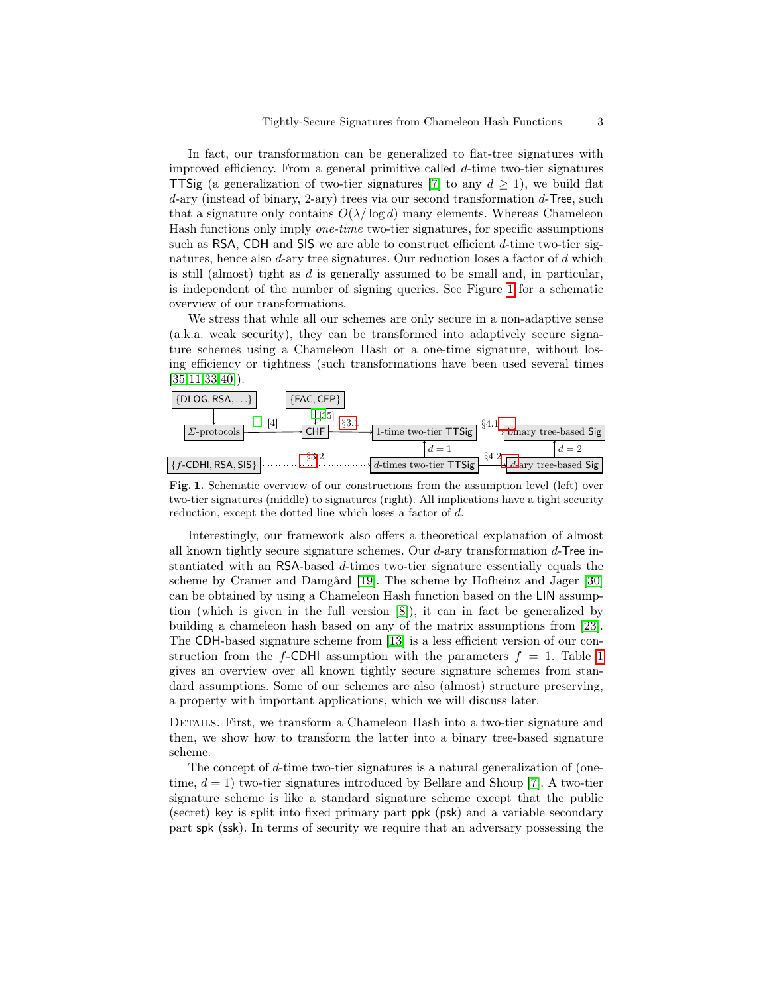In fact, our transformation can be generalized to flat-tree signatures with improved efficiency. From a general primitive called d-time two-tier signatures **TTSig** (a generalization of two-tier signatures [\[7\]](#page-16-14) to any  $d \ge 1$ ), we build flat  $d$ -ary (instead of binary, 2-ary) trees via our second transformation  $d$ -Tree, such that a signature only contains  $O(\lambda/\log d)$  many elements. Whereas Chameleon Hash functions only imply one-time two-tier signatures, for specific assumptions such as RSA, CDH and SIS we are able to construct efficient d-time two-tier signatures, hence also d-ary tree signatures. Our reduction loses a factor of d which is still (almost) tight as d is generally assumed to be small and, in particular, is independent of the number of signing queries. See Figure [1](#page-2-0) for a schematic overview of our transformations.

We stress that while all our schemes are only secure in a non-adaptive sense (a.k.a. weak security), they can be transformed into adaptively secure signature schemes using a Chameleon Hash or a one-time signature, without losing efficiency or tightness (such transformations have been used several times  $[35, 11, 33, 40]$  $[35, 11, 33, 40]$  $[35, 11, 33, 40]$ .



<span id="page-2-0"></span>Fig. 1. Schematic overview of our constructions from the assumption level (left) over two-tier signatures (middle) to signatures (right). All implications have a tight security reduction, except the dotted line which loses a factor of d.

Interestingly, our framework also offers a theoretical explanation of almost all known tightly secure signature schemes. Our  $d$ -ary transformation  $d$ -Tree instantiated with an RSA-based d-times two-tier signature essentially equals the scheme by Cramer and Damgård [\[19\]](#page-16-8). The scheme by Hofheinz and Jager [\[30\]](#page-17-6) can be obtained by using a Chameleon Hash function based on the LIN assumption (which is given in the full version [\[8\]](#page-16-16)), it can in fact be generalized by building a chameleon hash based on any of the matrix assumptions from [\[23\]](#page-17-10). The CDH-based signature scheme from [\[13\]](#page-16-10) is a less efficient version of our construction from the f-CDHI assumption with the parameters  $f = 1$  $f = 1$ . Table 1 gives an overview over all known tightly secure signature schemes from standard assumptions. Some of our schemes are also (almost) structure preserving, a property with important applications, which we will discuss later.

DETAILS. First, we transform a Chameleon Hash into a two-tier signature and then, we show how to transform the latter into a binary tree-based signature scheme.

The concept of d-time two-tier signatures is a natural generalization of (onetime,  $d = 1$ ) two-tier signatures introduced by Bellare and Shoup [\[7\]](#page-16-14). A two-tier signature scheme is like a standard signature scheme except that the public (secret) key is split into fixed primary part ppk (psk) and a variable secondary part spk (ssk). In terms of security we require that an adversary possessing the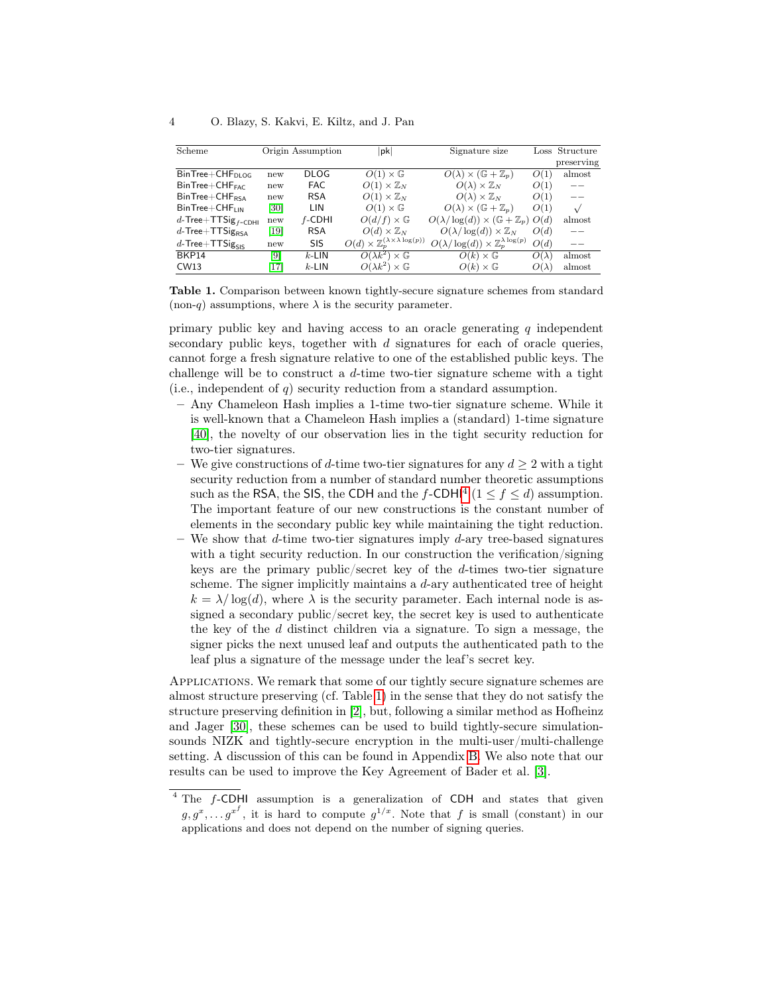| Scheme                         |                   | Origin Assumption | $ {\sf pk} $                                                  | Signature size                                             |              | Loss Structure |
|--------------------------------|-------------------|-------------------|---------------------------------------------------------------|------------------------------------------------------------|--------------|----------------|
|                                |                   |                   |                                                               |                                                            |              | preserving     |
| $BinTree + CHF_{DI,OG}$        | new               | <b>DLOG</b>       | $O(1)\times \mathbb{G}$                                       | $O(\lambda) \times (\mathbb{G} + \mathbb{Z}_p)$            | O(1)         | almost         |
| $BinTree + CHF_{\text{FAC}}$   | new               | <b>FAC</b>        | $O(1)\times\mathbb{Z}_N$                                      | $O(\lambda) \times \mathbb{Z}_N$                           | O(1)         |                |
| $BinTree + CHF_{RSA}$          | new               | <b>RSA</b>        | $O(1)\times\mathbb{Z}_N$                                      | $O(\lambda) \times \mathbb{Z}_N$                           | O(1)         |                |
| $BinTree + CHF_{IIN}$          | [30]              | LIN               | $O(1)\times \mathbb{G}$                                       | $O(\lambda) \times (\mathbb{G} + \mathbb{Z}_p)$            | O(1)         | $\sqrt{}$      |
| d-Tree+TTSig <sub>f-CDHI</sub> | new               | $f$ -CDHI         | $O(d/f) \times \mathbb{G}$                                    | $O(\lambda/\log(d)) \times (\mathbb{G} + \mathbb{Z}_p)$    | O(d)         | almost         |
| $d$ -Tree+TTSig <sub>RSA</sub> | $\left[19\right]$ | <b>RSA</b>        | $O(d) \times \mathbb{Z}_N$                                    | $O(\lambda/\log(d)) \times \mathbb{Z}_N$                   | O(d)         |                |
| $d$ -Tree+TTSig <sub>SIS</sub> | new               | SIS               | $O(d) \times \mathbb{Z}_p^{(\lambda \times \lambda \log(p))}$ | $O(\lambda/\log(d)) \times \mathbb{Z}_p^{\lambda \log(p)}$ | O(d)         | --             |
| BKP14                          | [9]               | $k$ -LIN          | $O(\lambda k^2) \times \mathbb{G}$                            | $O(k) \times \mathbb{G}$                                   | $O(\lambda)$ | almost         |
| CW13                           | [17]              | $k$ -LIN          | $O(\lambda k^2) \times \mathbb{G}$                            | $O(k) \times \mathbb{G}$                                   | $O(\lambda)$ | almost         |

<span id="page-3-0"></span>Table 1. Comparison between known tightly-secure signature schemes from standard (non-q) assumptions, where  $\lambda$  is the security parameter.

primary public key and having access to an oracle generating  $q$  independent secondary public keys, together with  $d$  signatures for each of oracle queries, cannot forge a fresh signature relative to one of the established public keys. The challenge will be to construct a d-time two-tier signature scheme with a tight (i.e., independent of  $q$ ) security reduction from a standard assumption.

- Any Chameleon Hash implies a 1-time two-tier signature scheme. While it is well-known that a Chameleon Hash implies a (standard) 1-time signature [\[40\]](#page-18-4), the novelty of our observation lies in the tight security reduction for two-tier signatures.
- We give constructions of d-time two-tier signatures for any  $d \geq 2$  with a tight security reduction from a number of standard number theoretic assumptions such as the RSA, the SIS, the CDH and the  $f$ -CDHI<sup>[4](#page-3-1)</sup> ( $1 \le f \le d$ ) assumption. The important feature of our new constructions is the constant number of elements in the secondary public key while maintaining the tight reduction.
- We show that d-time two-tier signatures imply d-ary tree-based signatures with a tight security reduction. In our construction the verification/signing keys are the primary public/secret key of the d-times two-tier signature scheme. The signer implicitly maintains a d-ary authenticated tree of height  $k = \lambda / \log(d)$ , where  $\lambda$  is the security parameter. Each internal node is assigned a secondary public/secret key, the secret key is used to authenticate the key of the  $d$  distinct children via a signature. To sign a message, the signer picks the next unused leaf and outputs the authenticated path to the leaf plus a signature of the message under the leaf's secret key.

Applications. We remark that some of our tightly secure signature schemes are almost structure preserving (cf. Table [1\)](#page-3-0) in the sense that they do not satisfy the structure preserving definition in [\[2\]](#page-15-0), but, following a similar method as Hofheinz and Jager [\[30\]](#page-17-6), these schemes can be used to build tightly-secure simulationsounds NIZK and tightly-secure encryption in the multi-user/multi-challenge setting. A discussion of this can be found in Appendix [B.](#page-20-0) We also note that our results can be used to improve the Key Agreement of Bader et al. [\[3\]](#page-16-17).

<span id="page-3-1"></span> $4$  The  $f$ -CDHI assumption is a generalization of CDH and states that given  $g, g^x, \ldots, g^{x^f}$ , it is hard to compute  $g^{1/x}$ . Note that f is small (constant) in our applications and does not depend on the number of signing queries.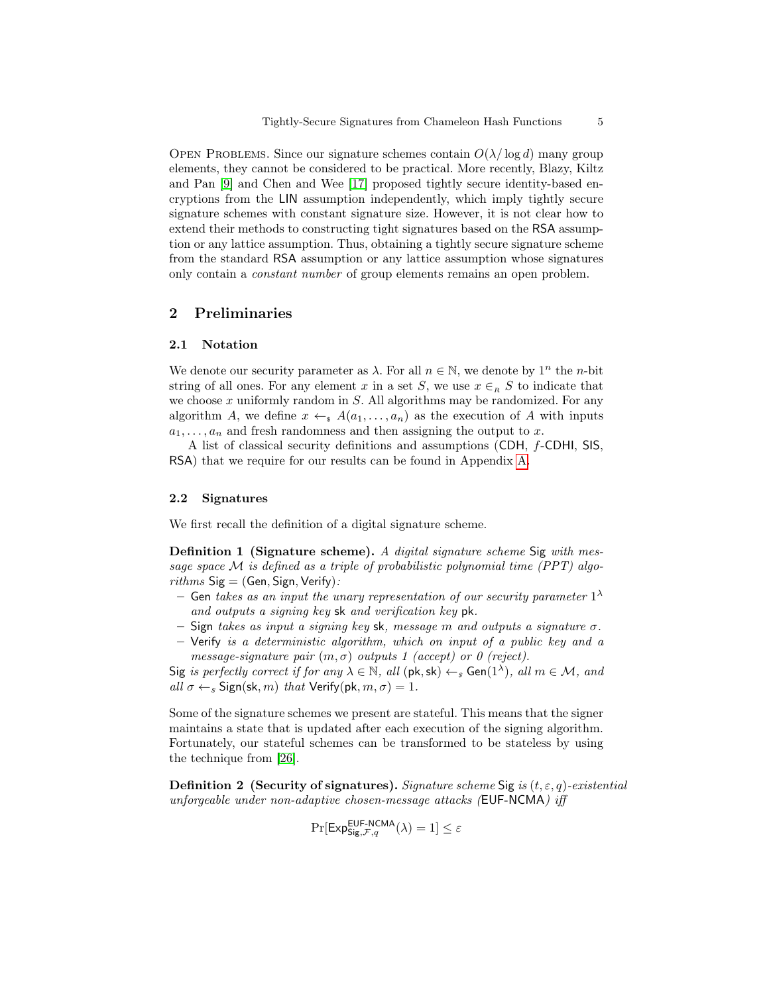OPEN PROBLEMS. Since our signature schemes contain  $O(\lambda/\log d)$  many group elements, they cannot be considered to be practical. More recently, Blazy, Kiltz and Pan [\[9\]](#page-16-11) and Chen and Wee [\[17\]](#page-16-12) proposed tightly secure identity-based encryptions from the LIN assumption independently, which imply tightly secure signature schemes with constant signature size. However, it is not clear how to extend their methods to constructing tight signatures based on the RSA assumption or any lattice assumption. Thus, obtaining a tightly secure signature scheme from the standard RSA assumption or any lattice assumption whose signatures only contain a constant number of group elements remains an open problem.

# 2 Preliminaries

## 2.1 Notation

We denote our security parameter as  $\lambda$ . For all  $n \in \mathbb{N}$ , we denote by  $1^n$  the *n*-bit string of all ones. For any element x in a set S, we use  $x \in_R S$  to indicate that we choose  $x$  uniformly random in  $S$ . All algorithms may be randomized. For any algorithm A, we define  $x \leftarrow_s A(a_1, \ldots, a_n)$  as the execution of A with inputs  $a_1, \ldots, a_n$  and fresh randomness and then assigning the output to x.

A list of classical security definitions and assumptions (CDH, f-CDHI, SIS, RSA) that we require for our results can be found in Appendix [A.](#page-18-5)

# 2.2 Signatures

<span id="page-4-0"></span>We first recall the definition of a digital signature scheme.

Definition 1 (Signature scheme). A digital signature scheme Sig with message space  $M$  is defined as a triple of probabilistic polynomial time (PPT) algo $rithms$  Sig = (Gen, Sign, Verify):

- $-$  Gen takes as an input the unary representation of our security parameter  $1^{\lambda}$ and outputs a signing key sk and verification key pk.
- Sign takes as input a signing key sk, message m and outputs a signature  $\sigma$ .
- Verify is a deterministic algorithm, which on input of a public key and a message-signature pair  $(m, \sigma)$  outputs 1 (accept) or 0 (reject).

Sig is perfectly correct if for any  $\lambda \in \mathbb{N}$ , all  $(\mathsf{pk}, \mathsf{sk}) \leftarrow_s \mathsf{Gen}(1^{\lambda})$ , all  $m \in \mathcal{M}$ , and all  $\sigma \leftarrow_{s}$  Sign(sk, m) that Verify(pk,  $m, \sigma$ ) = 1.

Some of the signature schemes we present are stateful. This means that the signer maintains a state that is updated after each execution of the signing algorithm. Fortunately, our stateful schemes can be transformed to be stateless by using the technique from [\[26\]](#page-17-11).

**Definition 2** (Security of signatures). Signature scheme Sig is  $(t, \varepsilon, q)$ -existential unforgeable under non-adaptive chosen-message attacks (EUF-NCMA) iff

$$
\Pr[\mathsf{Exp}_{\mathsf{Sig},\mathcal{F},q}^{\mathsf{EUF-NCMA}}(\lambda)=1]\leq \varepsilon
$$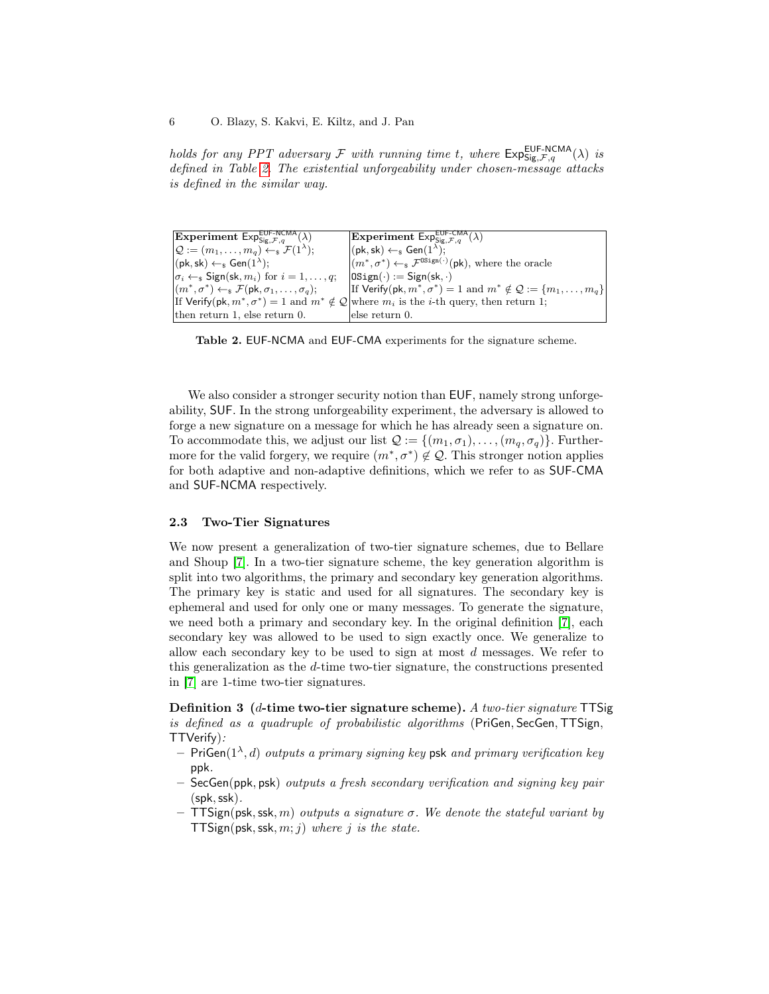holds for any PPT adversary  $\mathcal F$  with running time t, where  $\mathsf{Exp}_{\mathsf{Sig},\mathcal F,q}^{\mathsf{EUF-NCMA}}(\lambda)$  is defined in Table [2.](#page-5-0) The existential unforgeability under chosen-message attacks is defined in the similar way.

| <b>Experiment</b> $Exp_{Sig,\mathcal{F},g}^{EUF-NCMA}(\lambda)$                       | <b>Experiment</b> $\overline{\text{Exp}}_{\text{Sig. F.g}}^{\text{EUF-CMA}}(\lambda)$                                  |
|---------------------------------------------------------------------------------------|------------------------------------------------------------------------------------------------------------------------|
| $\mathcal{Q} := (m_1, \ldots, m_q) \leftarrow_s \mathcal{F}(1^{\lambda});$            | $(pk, sk) \leftarrow s$ Gen $(1^{\lambda})$ ;                                                                          |
| $(pk, sk) \leftarrow s$ Gen $(1^{\lambda})$ ;                                         | $ (m^*, \sigma^*) \leftarrow_{\rm s} \mathcal{F}^{\text{OSign}(\cdot)}(\text{pk})$ , where the oracle                  |
| $ \sigma_i \leftarrow \mathsf{s}$ Sign(sk, $m_i$ ) for $i = 1, \ldots, q$ ;           | $ 0\text{Sign}(\cdot)  := \text{Sign}(\text{sk}, \cdot)$                                                               |
| $ (m^*, \sigma^*) \leftarrow_s \mathcal{F}(\mathsf{pk}, \sigma_1, \ldots, \sigma_q);$ | If Verify(pk, $m^*, \sigma^*$ ) = 1 and $m^* \notin \mathcal{Q} := \{m_1, \ldots, m_q\}$                               |
|                                                                                       | If Verify(pk, $m^*, \sigma^*$ ) = 1 and $m^* \notin \mathcal{Q}$ where $m_i$ is the <i>i</i> -th query, then return 1; |
| then return 1, else return 0.                                                         | else return 0.                                                                                                         |

<span id="page-5-0"></span>Table 2. EUF-NCMA and EUF-CMA experiments for the signature scheme.

We also consider a stronger security notion than  $EUF$ , namely strong unforgeability, SUF. In the strong unforgeability experiment, the adversary is allowed to forge a new signature on a message for which he has already seen a signature on. To accommodate this, we adjust our list  $\mathcal{Q} := \{(m_1, \sigma_1), \ldots, (m_a, \sigma_a)\}\.$  Furthermore for the valid forgery, we require  $(m^*, \sigma^*) \notin \mathcal{Q}$ . This stronger notion applies for both adaptive and non-adaptive definitions, which we refer to as SUF-CMA and SUF-NCMA respectively.

#### 2.3 Two-Tier Signatures

We now present a generalization of two-tier signature schemes, due to Bellare and Shoup [\[7\]](#page-16-14). In a two-tier signature scheme, the key generation algorithm is split into two algorithms, the primary and secondary key generation algorithms. The primary key is static and used for all signatures. The secondary key is ephemeral and used for only one or many messages. To generate the signature, we need both a primary and secondary key. In the original definition [\[7\]](#page-16-14), each secondary key was allowed to be used to sign exactly once. We generalize to allow each secondary key to be used to sign at most d messages. We refer to this generalization as the d-time two-tier signature, the constructions presented in [\[7\]](#page-16-14) are 1-time two-tier signatures.

Definition 3 (d-time two-tier signature scheme). A two-tier signature TTSig is defined as a quadruple of probabilistic algorithms (PriGen, SecGen, TTSign, TTVerify):

- $-$  PriGen $(1^{\lambda}, d)$  outputs a primary signing key psk and primary verification key ppk.
- $-$  SecGen(ppk, psk) outputs a fresh secondary verification and signing key pair (spk,ssk).
- $-$  TTSign(psk, ssk, m) outputs a signature  $\sigma$ . We denote the stateful variant by TTSign(psk, ssk,  $m; j$ ) where j is the state.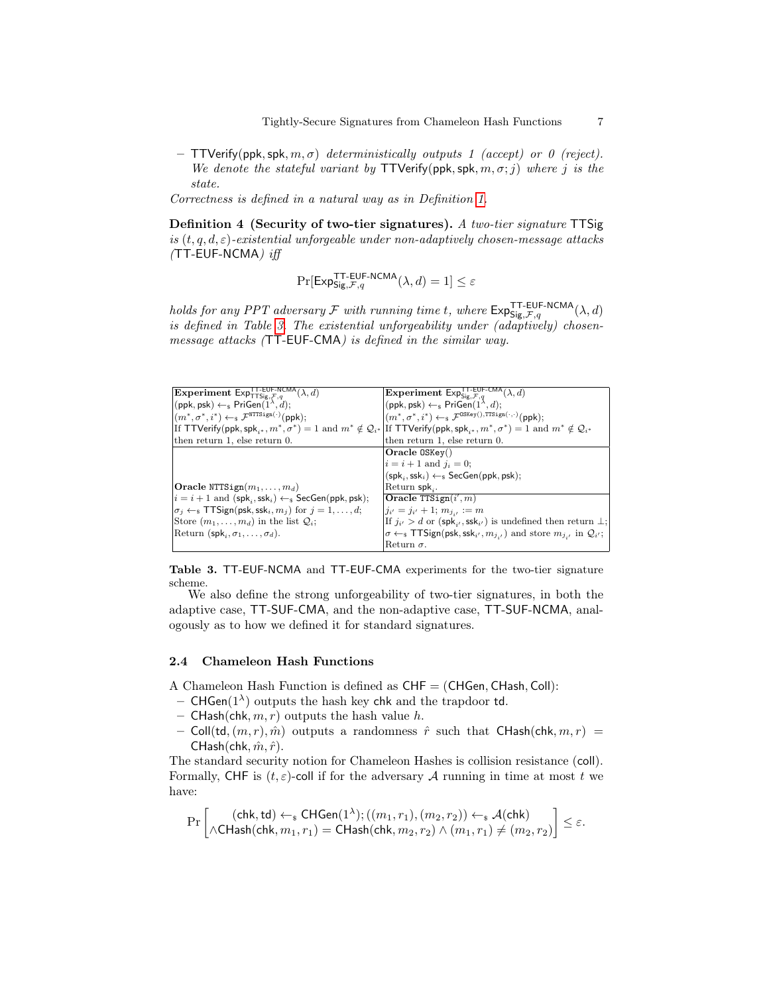– TTVerify(ppk, spk,  $m, \sigma$ ) deterministically outputs 1 (accept) or 0 (reject). We denote the stateful variant by  $TTV$ erify(ppk, spk,  $m, \sigma$ ; j) where j is the state.

Correctness is defined in a natural way as in Definition [1.](#page-4-0)

Definition 4 (Security of two-tier signatures). A two-tier signature TTSig is  $(t, q, d, \varepsilon)$ -existential unforgeable under non-adaptively chosen-message attacks  $(TT$ -EUF-NCMA) iff

$$
\Pr[\mathsf{Exp}_{\mathsf{Sig}, \mathcal{F}, q}^{\mathsf{T} \mathsf{T}\text{-}\mathsf{E}\mathsf{U} \mathsf{F}\text{-}\mathsf{N} \mathsf{C}\mathsf{M} \mathsf{A}}(\lambda, d) = 1] \leq \varepsilon
$$

holds for any PPT adversary  $\mathcal F$  with running time t, where  $\mathsf{Exp}_{\mathsf{Sig},\mathcal F,q}^{\mathsf{T} \mathsf{T}\text{-}\mathsf{E}\mathsf{U} \mathsf{F}\text{-}\mathsf{NCMA}}(\lambda,d)$ is defined in Table [3.](#page-6-0) The existential unforgeability under (adaptively) chosenmessage attacks (TT-EUF-CMA) is defined in the similar way.

| <b>Experiment ExpTT-EUF-NCMA</b> $(\lambda, d)$                                                                                                                                             | Experiment $\text{Exp}_{\text{Sig},\mathcal{F},q}^{\text{TT-EUF-CMA}}(\lambda,d)$                                   |
|---------------------------------------------------------------------------------------------------------------------------------------------------------------------------------------------|---------------------------------------------------------------------------------------------------------------------|
| $ (\mathsf{ppk}, \mathsf{psk}) \leftarrow_{\$} \mathsf{PriGen}(1^{\lambda}, d);$                                                                                                            | $(ppk, psk) \leftarrow s \text{PriGen}(1^{\lambda}, d);$                                                            |
| $ (m^*, \sigma^*, i^*) \leftarrow_{\$} \mathcal{F}^{\text{NTTSign}(\cdot)}(\text{ppk});$                                                                                                    | $(m^*, \sigma^*, i^*) \leftarrow_{\text{S}} \mathcal{F}^{\text{OSKey}(), \text{TTSign}(\cdot, \cdot)}(\text{ppk});$ |
| If TTVerify(ppk, spk <sub>i*</sub> , $m^*, \sigma^*$ ) = 1 and $m^* \notin \mathcal{Q}_{i^*}$ If TTVerify(ppk, spk <sub>i*</sub> , $m^*, \sigma^*$ ) = 1 and $m^* \notin \mathcal{Q}_{i^*}$ |                                                                                                                     |
| then return 1, else return 0.                                                                                                                                                               | then return 1, else return 0.                                                                                       |
|                                                                                                                                                                                             | $Oracle 0SKey)$                                                                                                     |
|                                                                                                                                                                                             | $i = i + 1$ and $i_i = 0$ ;                                                                                         |
|                                                                                                                                                                                             | $(spki, sski) \leftarrow s \text{SecGen}(ppk, psk);$                                                                |
| <b>Oracle NTTSign</b> $(m_1, \ldots, m_d)$                                                                                                                                                  | Return $spk_i$ .                                                                                                    |
| $ i = i + 1$ and $(\mathsf{spk}_i, \mathsf{ssk}_i) \leftarrow \mathsf{s}$ SecGen(ppk, psk);                                                                                                 | Oracle TTSign $(i', m)$                                                                                             |
| $ \sigma_i \leftarrow \mathsf{s}$ TTSign(psk, ssk <sub>i</sub> , $m_j$ ) for $j = 1, \ldots, d$ ;                                                                                           | $j_{i'} = j_{i'} + 1; m_{j_{i'}} := m$                                                                              |
| Store $(m_1, \ldots, m_d)$ in the list $Q_i$ ;                                                                                                                                              | If $j_{i'} > d$ or $(\textsf{spk}_{i'},\textsf{ssk}_{i'})$ is undefined then return $\perp$ ;                       |
| Return (spk, $\sigma_1, \ldots, \sigma_d$ ).                                                                                                                                                | $\sigma \leftarrow_{\rm s}$ TTSign(psk, ssk <sub>i'</sub> , $m_{i,j}$ ) and store $m_{i,j}$ in $\mathcal{Q}_{i'}$ ; |
|                                                                                                                                                                                             | Return $\sigma$ .                                                                                                   |

<span id="page-6-0"></span>Table 3. TT-EUF-NCMA and TT-EUF-CMA experiments for the two-tier signature scheme.

We also define the strong unforgeability of two-tier signatures, in both the adaptive case, TT-SUF-CMA, and the non-adaptive case, TT-SUF-NCMA, analogously as to how we defined it for standard signatures.

### 2.4 Chameleon Hash Functions

A Chameleon Hash Function is defined as CHF = (CHGen, CHash, Coll):

- CHGen( $1^{\lambda}$ ) outputs the hash key chk and the trapdoor td.
- CHash(chk,  $m, r$ ) outputs the hash value h.
- Coll(td,  $(m, r), \hat{m}$ ) outputs a randomness  $\hat{r}$  such that CHash(chk,  $m, r$ ) = CHash(chk,  $\hat{m}, \hat{r}$ ).

The standard security notion for Chameleon Hashes is collision resistance (coll). Formally, CHF is  $(t, \varepsilon)$ -coll if for the adversary A running in time at most t we have:

$$
\Pr\left[\begin{matrix}(\mathsf{chk},\mathsf{td})\leftarrow_{\mathsf{s}}\mathsf{CHGen}(1^{\lambda});((m_1,r_1),(m_2,r_2))\leftarrow_{\mathsf{s}}\mathcal{A}(\mathsf{chk})\\ \wedge\mathsf{CHash}(\mathsf{chk},m_1,r_1)=\mathsf{CHash}(\mathsf{chk},m_2,r_2)\wedge(m_1,r_1)\neq(m_2,r_2)\end{matrix}\right]\leq\varepsilon.
$$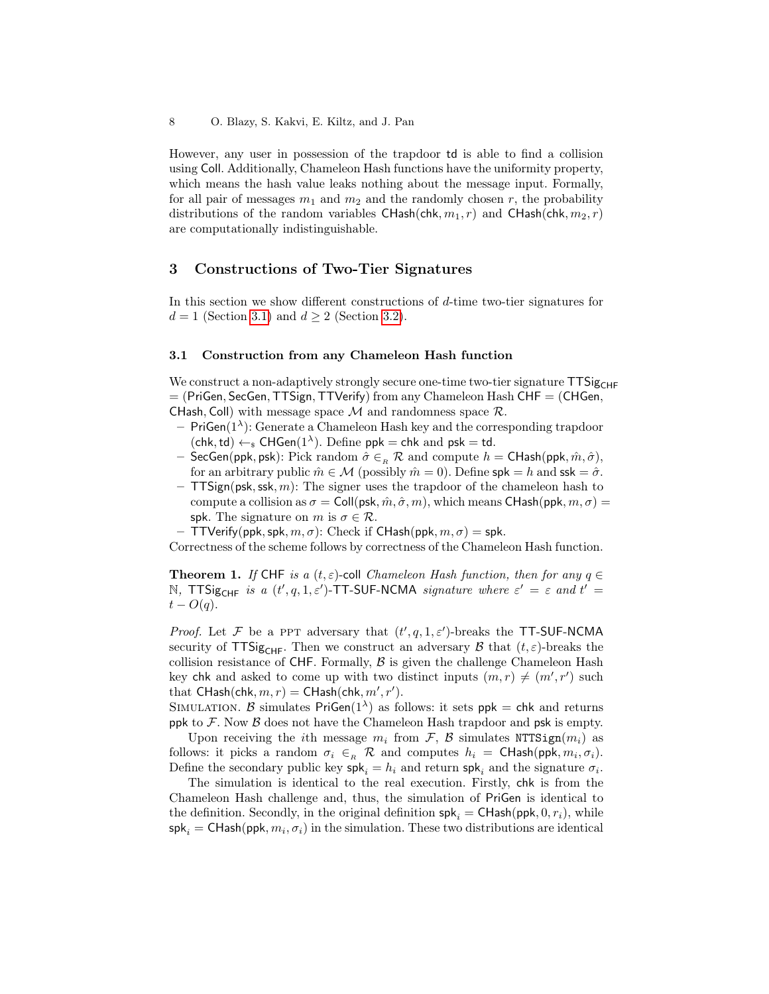However, any user in possession of the trapdoor td is able to find a collision using Coll. Additionally, Chameleon Hash functions have the uniformity property, which means the hash value leaks nothing about the message input. Formally, for all pair of messages  $m_1$  and  $m_2$  and the randomly chosen r, the probability distributions of the random variables CHash(chk,  $m_1$ , r) and CHash(chk,  $m_2$ , r) are computationally indistinguishable.

# 3 Constructions of Two-Tier Signatures

In this section we show different constructions of d-time two-tier signatures for  $d = 1$  (Section [3.1\)](#page-7-0) and  $d \geq 2$  (Section [3.2\)](#page-8-0).

### <span id="page-7-0"></span>3.1 Construction from any Chameleon Hash function

We construct a non-adaptively strongly secure one-time two-tier signature  $TTSig_{CHF}$  $=$  (PriGen, SecGen, TTSign, TTVerify) from any Chameleon Hash CHF  $=$  (CHGen, CHash, Coll) with message space  $M$  and randomness space  $\mathcal{R}$ .

- $-$  PriGen( $1^{\lambda}$ ): Generate a Chameleon Hash key and the corresponding trapdoor  $(\mathsf{chk}, \mathsf{td}) \leftarrow_{\mathsf{s}} \mathsf{CHGen}(1^{\lambda})$ . Define  $\mathsf{ppk} = \mathsf{chk}$  and  $\mathsf{psk} = \mathsf{td}$ .
- SecGen(ppk, psk): Pick random  $\hat{\sigma} \in_R \mathcal{R}$  and compute  $h = \text{CHash}(ppk, \hat{m}, \hat{\sigma})$ , for an arbitrary public  $\hat{m} \in \mathcal{M}$  (possibly  $\hat{m} = 0$ ). Define spk = h and ssk =  $\hat{\sigma}$ .
- $-$  TTSign(psk, ssk, m): The signer uses the trapdoor of the chameleon hash to compute a collision as  $\sigma = \text{Coll}(\text{psk}, \hat{m}, \hat{\sigma}, m)$ , which means CHash(ppk,  $m, \sigma$ ) = spk. The signature on m is  $\sigma \in \mathcal{R}$ .
- $-$  TTVerify(ppk, spk,  $m, \sigma$ ): Check if CHash(ppk,  $m, \sigma$ ) = spk.

Correctness of the scheme follows by correctness of the Chameleon Hash function.

**Theorem 1.** If CHF is a  $(t, \varepsilon)$ -coll *Chameleon Hash function, then for any*  $q \in$ N, TTSig<sub>CHF</sub> is a  $(t', q, 1, \varepsilon')$ -TT-SUF-NCMA signature where  $\varepsilon' = \varepsilon$  and  $t' =$  $t - O(q)$ .

*Proof.* Let F be a PPT adversary that  $(t', q, 1, \varepsilon')$ -breaks the TT-SUF-NCMA security of TTSig<sub>CHF</sub>. Then we construct an adversary B that  $(t, \varepsilon)$ -breaks the collision resistance of  $CHF$ . Formally,  $\beta$  is given the challenge Chameleon Hash key chk and asked to come up with two distinct inputs  $(m, r) \neq (m', r')$  such that  $\mathsf{CHash}(\mathsf{chk}, m, r) = \mathsf{CHash}(\mathsf{chk}, m', r').$ 

SIMULATION. B simulates  $PriGen(1^{\lambda})$  as follows: it sets  $ppk = chk$  and returns ppk to  $\mathcal F$ . Now  $\mathcal B$  does not have the Chameleon Hash trapdoor and psk is empty.

Upon receiving the *i*th message  $m_i$  from F, B simulates NTTSign $(m_i)$  as follows: it picks a random  $\sigma_i \in_R \mathcal{R}$  and computes  $h_i = \text{CHash}(ppk, m_i, \sigma_i)$ . Define the secondary public key  $\mathsf{spk}_i = h_i$  and return  $\mathsf{spk}_i$  and the signature  $\sigma_i$ .

The simulation is identical to the real execution. Firstly, chk is from the Chameleon Hash challenge and, thus, the simulation of PriGen is identical to the definition. Secondly, in the original definition  $\mathsf{spk}_i = \mathsf{CHash}(\mathsf{ppk}, 0, r_i)$ , while  $\mathsf{spk}_i = \mathsf{CHash}(\mathsf{ppk}, m_i, \sigma_i)$  in the simulation. These two distributions are identical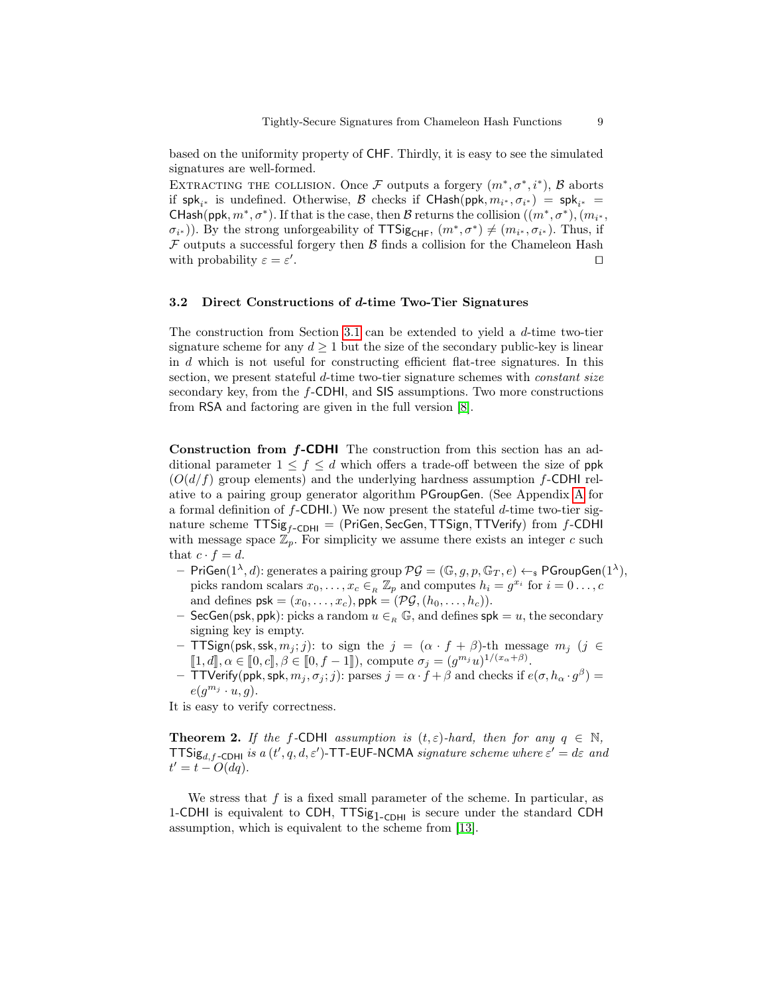based on the uniformity property of CHF. Thirdly, it is easy to see the simulated signatures are well-formed.

EXTRACTING THE COLLISION. Once F outputs a forgery  $(m^*, \sigma^*, i^*)$ , B aborts if  $\mathsf{spk}_{i^*}$  is undefined. Otherwise,  $\mathcal B$  checks if  $\mathsf{CHash}( \mathsf{ppk}, m_{i^*}, \sigma_{i^*} ) = \mathsf{spk}_{i^*} =$ CHash(ppk,  $m^*, \sigma^*$ ). If that is the case, then  $\mathcal B$  returns the collision  $((m^*, \sigma^*), (m_{i^*},$  $(\sigma_{i^*})$ ). By the strong unforgeability of TTSig<sub>CHF</sub>,  $(m^*, \sigma^*) \neq (m_{i^*}, \sigma_{i^*})$ . Thus, if  $\mathcal F$  outputs a successful forgery then  $\mathcal B$  finds a collision for the Chameleon Hash with probability  $\varepsilon = \varepsilon'$ . The contract of the contract of the contract of the contract of the contract of the contract of the contract of the contract of the contract of the contract of the contract of the contract of the contract of the contract

### <span id="page-8-0"></span>3.2 Direct Constructions of d-time Two-Tier Signatures

The construction from Section [3.1](#page-7-0) can be extended to yield a d-time two-tier signature scheme for any  $d \geq 1$  but the size of the secondary public-key is linear in d which is not useful for constructing efficient flat-tree signatures. In this section, we present stateful d-time two-tier signature schemes with *constant size* secondary key, from the f-CDHI, and SIS assumptions. Two more constructions from RSA and factoring are given in the full version [\[8\]](#page-16-16).

<span id="page-8-1"></span>Construction from  $f$ -CDHI The construction from this section has an additional parameter  $1 \leq f \leq d$  which offers a trade-off between the size of ppk  $(O(d/f)$  group elements) and the underlying hardness assumption f-CDHI relative to a pairing group generator algorithm PGroupGen. (See Appendix [A](#page-18-5) for a formal definition of  $f$ -CDHI.) We now present the stateful  $d$ -time two-tier signature scheme  $TTSig_{f-CDHI} = (PriGen, SecGen, TTSign, TTVerify)$  from f-CDHI with message space  $\mathbb{Z}_p$ . For simplicity we assume there exists an integer c such that  $c \cdot f = d$ .

- $-$  PriGen $(1^{\lambda}, d)$ : generates a pairing group  $\mathcal{PG} = (\mathbb{G}, g, p, \mathbb{G}_T, e) \leftarrow_s \mathsf{PGroupGen}(1^{\lambda}),$ picks random scalars  $x_0, \ldots, x_c \in R \mathbb{Z}_p$  and computes  $h_i = g^{x_i}$  for  $i = 0 \ldots, c$ and defines  $psk = (x_0, \ldots, x_c)$ ,  $ppk = (\mathcal{PG}, (h_0, \ldots, h_c))$ .
- SecGen(psk, ppk): picks a random  $u \in R$  G, and defines spk = u, the secondary signing key is empty.
- TTSign(psk, ssk,  $m_j$ ; j): to sign the  $j = (\alpha \cdot f + \beta)$ -th message  $m_j$  (j  $\in$  $[1, d], \alpha \in [0, c], \beta \in [0, f - 1]$ , compute  $\sigma_j = (g^{m_j}u)^{1/(x_{\alpha}+\beta)}$ .<br>TJ\orifi(inn), cnk, m,  $\sigma$ ; i); parces  $j = \alpha$ , f i  $\beta$  and shocks if  $\alpha$ .
- TTVerify(ppk, spk,  $m_j, \sigma_j; j$ ): parses  $j = \alpha \cdot f + \beta$  and checks if  $e(\sigma, h_\alpha \cdot g^\beta)$  =  $e(g^{m_j} \cdot u, g)$ .

It is easy to verify correctness.

**Theorem 2.** If the f-CDHI assumption is  $(t, \varepsilon)$ -hard, then for any  $q \in \mathbb{N}$ , TTSig<sub>d,f-CDHI</sub> is a  $(t', q, d, \varepsilon')$ -TT-EUF-NCMA signature scheme where  $\varepsilon' = d\varepsilon$  and  $t' = t - O(dq).$ 

We stress that f is a fixed small parameter of the scheme. In particular, as 1-CDHI is equivalent to CDH,  $TTSig_{1-CDH1}$  is secure under the standard CDH assumption, which is equivalent to the scheme from [\[13\]](#page-16-10).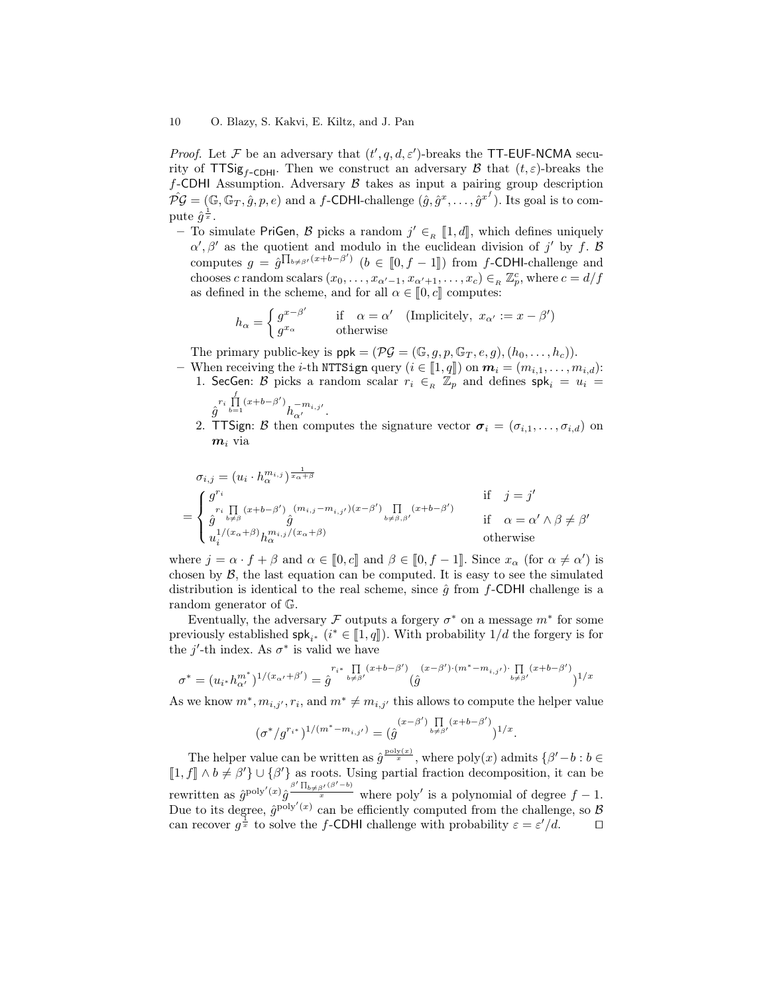*Proof.* Let F be an adversary that  $(t', q, d, \varepsilon')$ -breaks the TT-EUF-NCMA security of TTSig<sub>f-CDHI</sub>. Then we construct an adversary B that  $(t, \varepsilon)$ -breaks the f-CDHI Assumption. Adversary  $\beta$  takes as input a pairing group description  $\hat{P G} = (\mathbb{G}, \mathbb{G}_T, \hat{g}, p, e)$  and a  $f$ -CDHI-challenge  $(\hat{g}, \hat{g}^x, \dots, \hat{g}^{x^f})$ . Its goal is to compute  $\hat{g}^{\frac{1}{x}}.$ 

– To simulate PriGen, B picks a random  $j' \in_R [1, d]$ , which defines uniquely  $\alpha', \beta'$  as the quotient and modulo in the euclidean division of j' by f. B computes  $g = \hat{g} \prod_{b \neq \beta'} (x+b-\beta')$   $(b \in [0, f-1])$  from f-CDHI-challenge and<br>chooses a random scalars  $(x, y, z) \in \mathbb{Z}^c$ , where  $a = d/f$ chooses c random scalars  $(x_0, \ldots, x_{\alpha'-1}, x_{\alpha'+1}, \ldots, x_c) \in_R \mathbb{Z}_p^c$ , where  $c = d/f$ as defined in the scheme, and for all  $\alpha \in [0, c]$  computes:

$$
h_{\alpha} = \begin{cases} g^{x-\beta'} & \text{if } \alpha = \alpha' \text{ (Implicitely, } x_{\alpha'} := x - \beta' \text{)} \\ g^{x_{\alpha}} & \text{otherwise} \end{cases}
$$

The primary public-key is  $ppk = (\mathcal{PG} = (\mathbb{G}, g, p, \mathbb{G}_T, e, g), (h_0, \ldots, h_c)).$ 

- When receiving the *i*-th NTTSign query  $(i \in [1, q])$  on  $m_i = (m_{i,1}, \ldots, m_{i,d})$ :<br>1. SecGen: B picks a random scalar  $r_i \in_R \mathbb{Z}_p$  and defines  $\mathsf{spk}_i = u_i =$ f

$$
\hat{g}^{r_i} \prod_{b=1}^{1} (x+b-\beta') \frac{1}{h_{\alpha'}}^{m_{i,j'}}.
$$

2. TTSign: B then computes the signature vector  $\sigma_i = (\sigma_{i,1}, \ldots, \sigma_{i,d})$  on  $m_i$  via

$$
\sigma_{i,j} = (u_i \cdot h_{\alpha}^{m_{i,j}})^{\frac{1}{x_{\alpha}+\beta}}
$$
  
\n
$$
= \begin{cases}\ng^{r_i} & \text{if } j = j' \\
r_i \prod_{b \neq \beta} (x+b-\beta') \left( m_{i,j} - m_{i,j'} \right) (x-\beta') \prod_{b \neq \beta, \beta'} (x+b-\beta') \\
\vdots & \text{if } \alpha = \alpha' \wedge \beta \neq \beta' \\
u_i^{1/(x_{\alpha}+\beta)} h_{\alpha}^{m_{i,j}/(x_{\alpha}+\beta)} & \text{otherwise}\n\end{cases}
$$

where  $j = \alpha \cdot f + \beta$  and  $\alpha \in [0, c]$  and  $\beta \in [0, f - 1]$ . Since  $x_{\alpha}$  (for  $\alpha \neq \alpha'$ ) is chosen by  $\beta$ , the last equation can be computed. It is easy to see the simulated distribution is identical to the real scheme, since  $\hat{g}$  from f-CDHI challenge is a random generator of G.

Eventually, the adversary  $\mathcal F$  outputs a forgery  $\sigma^*$  on a message  $m^*$  for some previously established  $\mathsf{spk}_{i^*}$  ( $i^* \in [1, q]$ ). With probability  $1/d$  the forgery is for<br>the  $i'$  th index. As  $\sigma^*$  is volid we have the j'-th index. As  $\sigma^*$  is valid we have

$$
\sigma^* = (u_{i^*}h_{\alpha'}^{m^*})^{1/(x_{\alpha'}+\beta')} = \hat{g}^{r_{i^*}} \prod_{b \neq \beta'} (x+b-\beta') \big(\hat{g}^{(x-\beta')\cdot(m^*-m_{i,j'})\cdot \prod\limits_{b \neq \beta'} (x+b-\beta')}{x+m_{i,j'}}\big)^{1/x}
$$

As we know  $m^*$ ,  $m_{i,j'}$ ,  $r_i$ , and  $m^* \neq m_{i,j'}$  this allows to compute the helper value

$$
(\sigma^*/g^{r_{i^*}})^{1/(m^*-m_{i,j'})} = (\hat{g}^{(x-\beta')\prod\limits_{b\neq \beta'}(x+b-\beta')} )^{1/x}.
$$

The helper value can be written as  $\hat{g}^{\frac{\text{poly}(x)}{x}}$ , where  $\text{poly}(x)$  admits  $\{\beta'-b : b \in$  $\llbracket 1, f \rrbracket \wedge b \neq \beta$  $\mathcal{O}\{\beta'\}\$ as roots. Using partial fraction decomposition, it can be rewritten as  $\hat{g}^{\text{poly}'(x)}\hat{g}^{\frac{\beta'}{\Pi_{b\neq\beta'}(\beta'-b)}}$  where poly' is a polynomial of degree  $f-1$ . Due to its degree,  $\hat{g}^{poly'(x)}$  can be efficiently computed from the challenge, so B can recover  $g^{\frac{1}{x}}$  to solve the f-CDHI challenge with probability  $\varepsilon = \varepsilon'/d$ .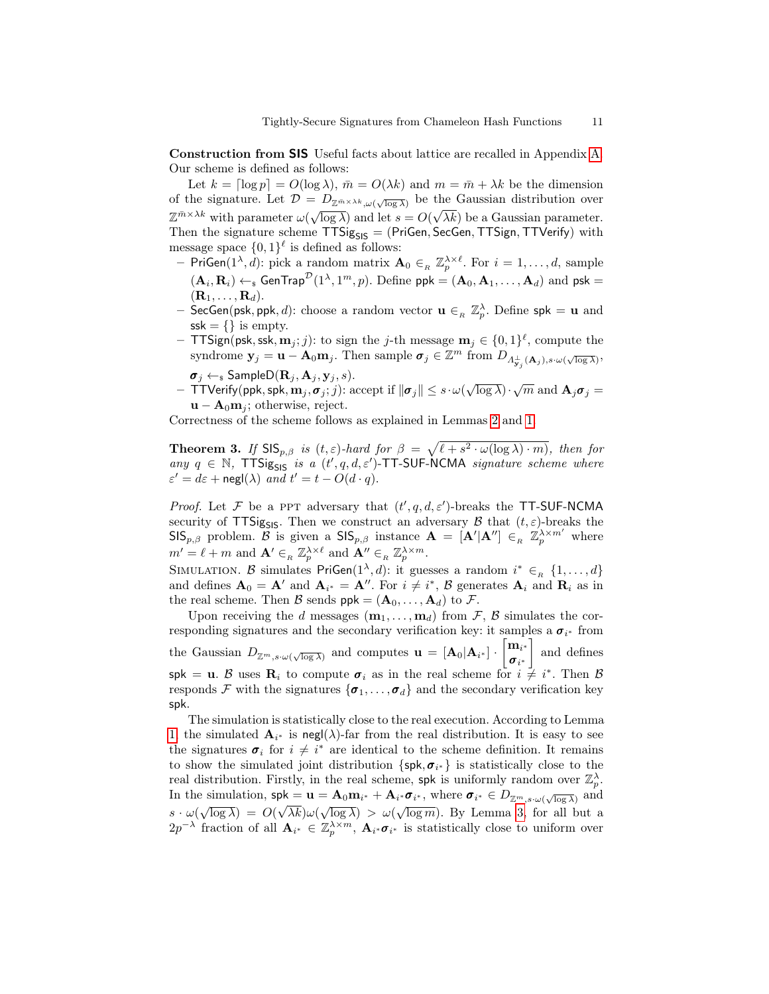Construction from SIS Useful facts about lattice are recalled in Appendix [A.](#page-18-5) Our scheme is defined as follows:

Let  $k = \lceil \log p \rceil = O(\log \lambda)$ ,  $\bar{m} = O(\lambda k)$  and  $m = \bar{m} + \lambda k$  be the dimension of the signature. Let  $\mathcal{D} = D_{\mathbb{Z}^m \times \lambda^k, \omega(\sqrt{\log \lambda})}$  be the Gaussian distribution over  $\mathbb{Z}^{\bar{m}\times\lambda k}$  with parameter  $\omega(\sqrt{\log\lambda})$  and let  $s=O(\sqrt{\lambda k})$  be a Gaussian parameter. Then the signature scheme  $TTSig_{SIS} = (PriGen, SecGen, TTSign, TTVerify)$  with message space  $\{0,1\}^{\ell}$  is defined as follows:

- PriGen $(1^{\lambda}, d)$ : pick a random matrix  $\mathbf{A}_0 \in_R \mathbb{Z}_p^{\lambda \times \ell}$ . For  $i = 1, \ldots, d$ , sample  $(\mathbf{A}_i, \mathbf{R}_i) \leftarrow$  GenTrap<sup> $\mathcal{D}(1^{\lambda}, 1^m, p)$ . Define ppk =  $(\mathbf{A}_0, \mathbf{A}_1, \dots, \mathbf{A}_d)$  and psk =</sup>  $(\mathbf{R}_1, \ldots, \mathbf{R}_d).$
- SecGen(psk, ppk, d): choose a random vector  $\mathbf{u} \in R \mathbb{Z}_p^{\lambda}$ . Define spk =  $\mathbf{u}$  and  $\mathsf{ssk} = \{\}\$ is empty.
- TTSign(psk, ssk,  $\mathbf{m}_j$ ; j): to sign the j-th message  $\mathbf{m}_j \in \{0,1\}^{\ell}$ , compute the syndrome  $\mathbf{y}_j = \mathbf{u} - \mathbf{A}_0 \mathbf{m}_j$ . Then sample  $\boldsymbol{\sigma}_j \in \mathbb{Z}^m$  from  $D_{\Lambda_{\mathbf{y}_j}^{\perp}(\mathbf{A}_j), s \cdot \omega(\sqrt{\log \lambda})}$ ,  $\sigma_j \leftarrow_{\rm s}$  Sample $D(\mathbf{R}_j, \mathbf{A}_j, \mathbf{y}_j, s)$ .
- $\sigma_j \leftarrow$  sampleD( $\mathbf{R}_j, \mathbf{A}_j, \mathbf{y}_j, s$ ).<br>  $\vdash$  TTVerify(ppk, spk,  $\mathbf{m}_j$ ,  $\sigma_j$ ; *j*): accept if  $\|\boldsymbol{\sigma}_j\| \leq s \cdot \omega(\sqrt{\log \lambda}) \cdot \sqrt{m}$  and  $\mathbf{A}_j \boldsymbol{\sigma}_j =$  $\mathbf{u} - \mathbf{A}_0 \mathbf{m}_i$ ; otherwise, reject.

Correctness of the scheme follows as explained in Lemmas [2](#page-20-1) and [1.](#page-19-0)

**Theorem 3.** If  $\text{SIS}_{p,\beta}$  is  $(t,\varepsilon)$ -hard for  $\beta = \sqrt{\ell + s^2 \cdot \omega(\log \lambda) \cdot m}$ , then for any  $q \in \mathbb{N}$ , TTSig<sub>SIS</sub> is a  $(t', q, d, \varepsilon')$ -TT-SUF-NCMA signature scheme where  $\varepsilon' = d\varepsilon + \operatorname{negl}(\lambda)$  and  $t' = t - O(d \cdot q)$ .

*Proof.* Let F be a PPT adversary that  $(t', q, d, \varepsilon')$ -breaks the TT-SUF-NCMA security of TTSig<sub>SIS</sub>. Then we construct an adversary B that  $(t, \varepsilon)$ -breaks the  $\textsf{SIS}_{p,\beta}$  problem. B is given a  $\textsf{SIS}_{p,\beta}$  instance  $\mathbf{A} = [\mathbf{A}'|\mathbf{A}''] \in_R \mathbb{Z}_p^{\lambda \times m'}$  where  $m' = \ell + m$  and  $\mathbf{A}' \in_R \mathbb{Z}_p^{\lambda \times \ell}$  and  $\mathbf{A}'' \in_R \mathbb{Z}_p^{\lambda \times m}$ .

SIMULATION. B simulates PriGen $(1^{\lambda}, d)$ : it guesses a random  $i^* \in_R \{1, \ldots, d\}$ and defines  $\mathbf{A}_0 = \mathbf{A}'$  and  $\mathbf{A}_{i^*} = \mathbf{A}''$ . For  $i \neq i^*$ ,  $\mathcal{B}$  generates  $\mathbf{A}_i$  and  $\mathbf{R}_i$  as in the real scheme. Then B sends  $ppk = (\mathbf{A}_0, \dots, \mathbf{A}_d)$  to F.

Upon receiving the d messages  $(\mathbf{m}_1, \ldots, \mathbf{m}_d)$  from F, B simulates the corresponding signatures and the secondary verification key: it samples a  $\sigma_{i^*}$  from the Gaussian  $D_{\mathbb{Z}^m,s\cdot\omega(\sqrt{\log\lambda})}$  and computes  $\mathbf{u} = [\mathbf{A}_0|\mathbf{A}_{i^*}] \cdot \begin{bmatrix} \mathbf{m}_{i^*} \\ \mathbf{a}_{i^*} \end{bmatrix}$  $\bm{\sigma}_{i^*}$  and defines spk = u. B uses  $\mathbf{R}_i$  to compute  $\sigma_i$  as in the real scheme for  $i \neq i^*$ . Then B responds F with the signatures  $\{\sigma_1, \ldots, \sigma_d\}$  and the secondary verification key spk.

The simulation is statistically close to the real execution. According to Lemma [1,](#page-19-0) the simulated  $\mathbf{A}_{i^*}$  is negl( $\lambda$ )-far from the real distribution. It is easy to see the signatures  $\sigma_i$  for  $i \neq i^*$  are identical to the scheme definition. It remains to show the simulated joint distribution  $\{spk, \sigma_{i^*}\}\$ is statistically close to the real distribution. Firstly, in the real scheme, spk is uniformly random over  $\mathbb{Z}_p^{\lambda}$ . In the simulation,  $\mathsf{spk} = \mathbf{u} = \mathbf{A}_0 \mathbf{m}_{i^*} + \mathbf{A}_{i^*} \boldsymbol{\sigma}_{i^*}$ , where  $\boldsymbol{\sigma}_{i^*} \in D_{\mathbb{Z}^m, s \cdot \omega(\sqrt{\log \lambda})}$  and  $s \cdot \omega(\sqrt{\log \lambda}) = O(\sqrt{\lambda k}) \omega(\sqrt{\log \lambda}) > \omega(\sqrt{\log m})$ . By Lemma [3,](#page-20-2) for all but a  $2p^{-\lambda}$  fraction of all  $\mathbf{A}_{i^*} \in \mathbb{Z}_p^{\lambda \times m}$ ,  $\mathbf{A}_{i^*} \boldsymbol{\sigma}_{i^*}$  is statistically close to uniform over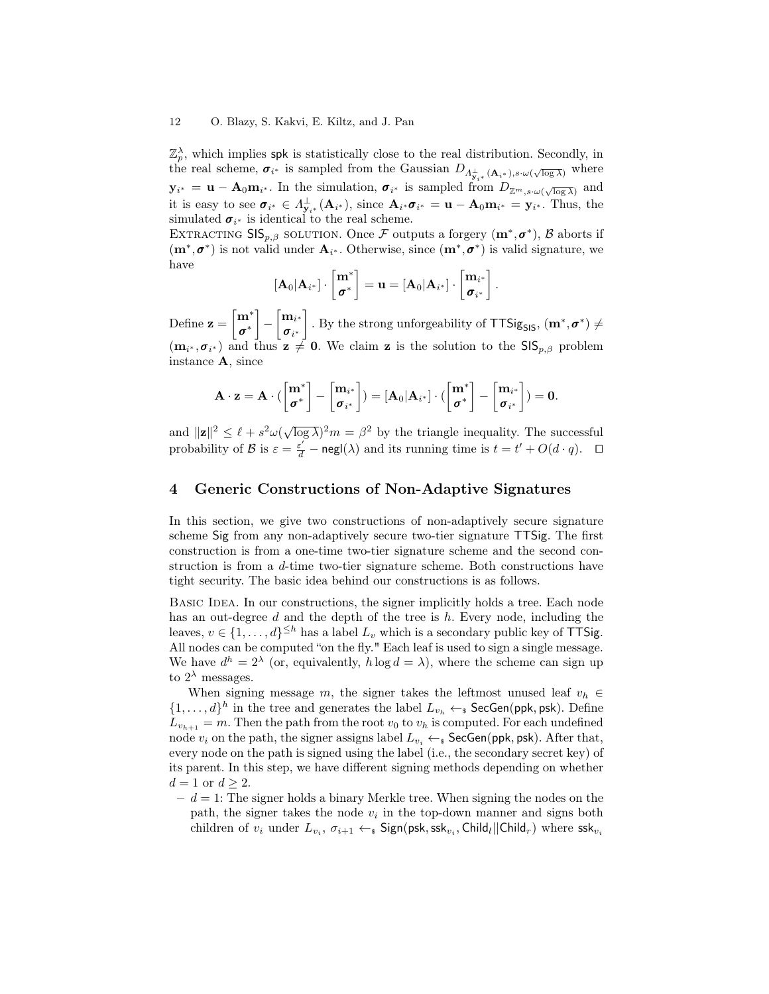#### 12 O. Blazy, S. Kakvi, E. Kiltz, and J. Pan

 $\mathbb{Z}_p^{\lambda}$ , which implies spk is statistically close to the real distribution. Secondly, in the real scheme,  $\sigma_{i^*}$  is sampled from the Gaussian  $D_{\Lambda^{\perp}_{\mathbf{y}_{i^*}}(\mathbf{A}_{i^*}), s \cdot \omega(\sqrt{\log \lambda})}$  where  $y_{i^*} = \mathbf{u} - \mathbf{A}_0 \mathbf{m}_{i^*}$ . In the simulation,  $\sigma_{i^*}$  is sampled from  $D_{\mathbb{Z}^m, s \cdot \omega(\sqrt{\log \lambda})}$  and it is easy to see  $\sigma_{i^*} \in \Lambda^{\perp}_{\mathbf{y}_{i^*}}(\mathbf{A}_{i^*})$ , since  $\mathbf{A}_{i^*}\sigma_{i^*} = \mathbf{u} - \mathbf{A}_0 \mathbf{m}_{i^*} = \mathbf{y}_{i^*}$ . Thus, the simulated  $\sigma_{i^*}$  is identical to the real scheme.

EXTRACTING  $\text{SIS}_{p,\beta}$  solution. Once F outputs a forgery  $(\mathbf{m}^*, \sigma^*)$ , B aborts if  $(m^*, \sigma^*)$  is not valid under  $A_{i^*}$ . Otherwise, since  $(m^*, \sigma^*)$  is valid signature, we have

$$
[\mathbf{A}_0|\mathbf{A}_{i^*}] \cdot \begin{bmatrix} \mathbf{m}^* \\ \mathbf{\sigma}^* \end{bmatrix} = \mathbf{u} = [\mathbf{A}_0|\mathbf{A}_{i^*}] \cdot \begin{bmatrix} \mathbf{m}_{i^*} \\ \mathbf{\sigma}_{i^*} \end{bmatrix}.
$$

Define  $\mathbf{z} = \begin{bmatrix} \mathbf{m}^* \\ -\mathbf{m}^* \end{bmatrix}$ σ ∗  $\begin{bmatrix} - & m_{i^*} \\ - & \end{bmatrix}$  $\boldsymbol{\sigma}_{i^*}$ . By the strong unforgeability of  $TTSig_{SIS}$ ,  $(\mathbf{m}^*, \sigma^*) \neq$  $(\mathbf{m}_{i^*}, \sigma_{i^*})$  and thus  $\mathbf{z} \neq \mathbf{0}$ . We claim  $\mathbf{z}$  is the solution to the  $\mathsf{SIS}_{p,\beta}$  problem instance A, since

$$
\mathbf{A}\cdot\mathbf{z}=\mathbf{A}\cdot(\begin{bmatrix}\mathbf{m}^*\\\boldsymbol{\sigma}^*\end{bmatrix}-\begin{bmatrix}\mathbf{m}_{i^*}\\\boldsymbol{\sigma}_{i^*}\end{bmatrix})=[\mathbf{A}_0|\mathbf{A}_{i^*}]\cdot(\begin{bmatrix}\mathbf{m}^*\\\boldsymbol{\sigma}^*\end{bmatrix}-\begin{bmatrix}\mathbf{m}_{i^*}\\\boldsymbol{\sigma}_{i^*}\end{bmatrix})=\mathbf{0}.
$$

and  $||\mathbf{z}||^2 \leq \ell + s^2 \omega(\sqrt{\log \lambda})^2 m = \beta^2$  by the triangle inequality. The successful probability of B is  $\varepsilon = \frac{\varepsilon'}{d} - \text{negl}(\lambda)$  and its running time is  $t = t' + O(d \cdot q)$ .  $\Box$ 

# 4 Generic Constructions of Non-Adaptive Signatures

In this section, we give two constructions of non-adaptively secure signature scheme Sig from any non-adaptively secure two-tier signature TTSig. The first construction is from a one-time two-tier signature scheme and the second construction is from a d-time two-tier signature scheme. Both constructions have tight security. The basic idea behind our constructions is as follows.

BASIC IDEA. In our constructions, the signer implicitly holds a tree. Each node has an out-degree d and the depth of the tree is h. Every node, including the leaves,  $v \in \{1, \ldots, d\}^{\leq h}$  has a label  $L_v$  which is a secondary public key of TTSig. All nodes can be computed "on the fly." Each leaf is used to sign a single message. We have  $d^h = 2^{\lambda}$  (or, equivalently,  $h \log d = \lambda$ ), where the scheme can sign up to  $2^{\lambda}$  messages.

When signing message m, the signer takes the leftmost unused leaf  $v_h \in$  $\{1,\ldots,d\}^h$  in the tree and generates the label  $L_{v_h} \leftarrow_s \mathsf{SecGen}(\mathsf{ppk},\mathsf{psk})$ . Define  $L_{v_{h+1}} = m$ . Then the path from the root  $v_0$  to  $v_h$  is computed. For each undefined node  $v_i$  on the path, the signer assigns label  $L_{v_i} \leftarrow_s$  SecGen(ppk, psk). After that, every node on the path is signed using the label (i.e., the secondary secret key) of its parent. In this step, we have different signing methods depending on whether  $d=1$  or  $d \geq 2$ .

 $-d=1$ : The signer holds a binary Merkle tree. When signing the nodes on the path, the signer takes the node  $v_i$  in the top-down manner and signs both children of  $v_i$  under  $L_{v_i}, \sigma_{i+1} \leftarrow_{\textnormal{\textbf{s}}}$  Sign(psk,ssk $_{v_i},$  Child $_l$ ||Child $_r$ ) where ssk $_{v_i}$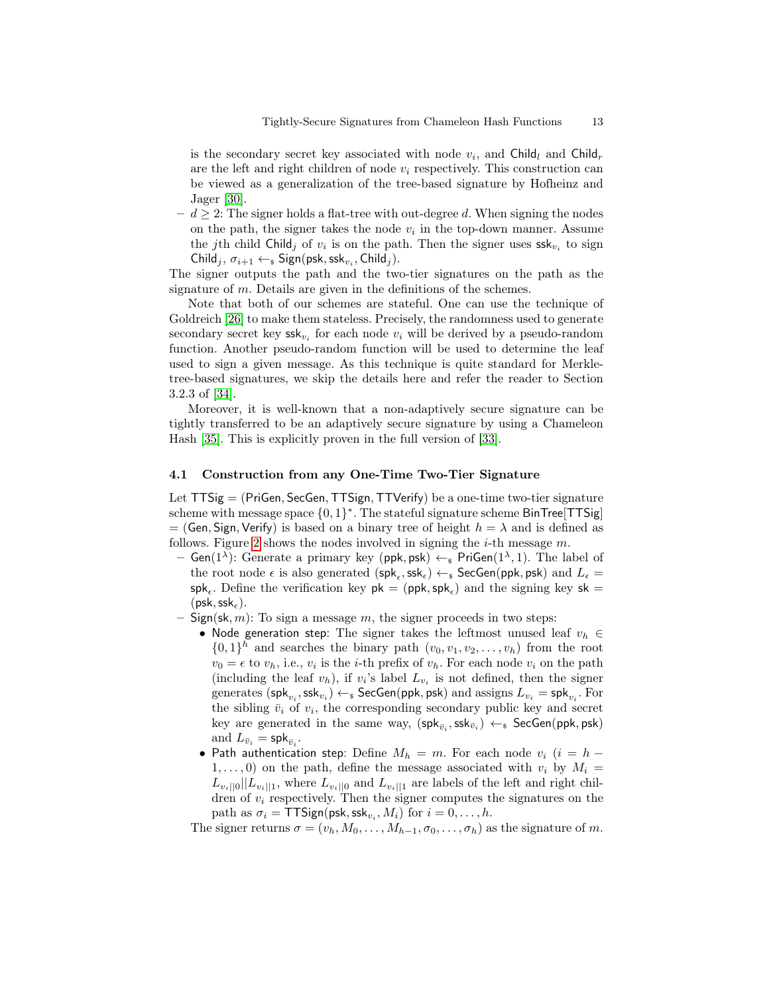is the secondary secret key associated with node  $v_i$ , and Child<sub>l</sub> and Child<sub>r</sub> are the left and right children of node  $v_i$  respectively. This construction can be viewed as a generalization of the tree-based signature by Hofheinz and Jager [\[30\]](#page-17-6).

 $- d \geq 2$ : The signer holds a flat-tree with out-degree d. When signing the nodes on the path, the signer takes the node  $v_i$  in the top-down manner. Assume the jth child Child<sub>j</sub> of  $v_i$  is on the path. Then the signer uses  $\textsf{ssk}_{v_i}$  to sign Child<sub>j</sub>,  $\sigma_{i+1} \leftarrow_{\$}$  Sign(psk, ssk<sub>v<sub>i</sub></sub>, Child<sub>j</sub>).

The signer outputs the path and the two-tier signatures on the path as the signature of m. Details are given in the definitions of the schemes.

Note that both of our schemes are stateful. One can use the technique of Goldreich [\[26\]](#page-17-11) to make them stateless. Precisely, the randomness used to generate secondary secret key  $\mathsf{ssk}_{v_i}$  for each node  $v_i$  will be derived by a pseudo-random function. Another pseudo-random function will be used to determine the leaf used to sign a given message. As this technique is quite standard for Merkletree-based signatures, we skip the details here and refer the reader to Section 3.2.3 of [\[34\]](#page-17-12).

Moreover, it is well-known that a non-adaptively secure signature can be tightly transferred to be an adaptively secure signature by using a Chameleon Hash [\[35\]](#page-17-7). This is explicitly proven in the full version of [\[33\]](#page-17-9).

## <span id="page-12-0"></span>4.1 Construction from any One-Time Two-Tier Signature

Let  $TTSig = (PriGen, SecGen, TTSign, TTVerify)$  be a one-time two-tier signature scheme with message space  $\{0,1\}^*$ . The stateful signature scheme BinTree[TTSig] = (Gen, Sign, Verify) is based on a binary tree of height  $h = \lambda$  and is defined as follows. Figure [2](#page-13-0) shows the nodes involved in signing the *i*-th message  $m$ .

- $-$  Gen(1<sup> $\lambda$ </sup>): Generate a primary key (ppk, psk)  $\leftarrow_s$  PriGen(1<sup> $\lambda$ </sup>, 1). The label of the root node  $\epsilon$  is also generated  $(\mathsf{spk}_\epsilon,\mathsf{ssk}_\epsilon) \leftarrow_\$ \mathsf{SecGen}(\mathsf{ppk},\mathsf{psk})$  and  $L_\epsilon =$  $\mathsf{spk}_{\epsilon}$ . Define the verification key  $\mathsf{pk} = (\mathsf{ppk}, \mathsf{spk}_{\epsilon})$  and the signing key  $\mathsf{sk} =$  $(psk, ssk<sub>e</sub>)$ .
- Sign(sk, m): To sign a message m, the signer proceeds in two steps:
	- Node generation step: The signer takes the leftmost unused leaf  $v_h \in$  $\{0,1\}$ <sup>h</sup> and searches the binary path  $(v_0, v_1, v_2, \ldots, v_h)$  from the root  $v_0 = \epsilon$  to  $v_h$ , i.e.,  $v_i$  is the *i*-th prefix of  $v_h$ . For each node  $v_i$  on the path (including the leaf  $v_h$ ), if  $v_i$ 's label  $L_{v_i}$  is not defined, then the signer generates  $({\sf spk}_{v_i},{\sf ssk}_{v_i})\leftarrow_\$~\mathsf{SecGen}({\sf ppk},{\sf psk})$  and assigns  $L_{v_i}={\sf spk}_{v_i}.$  For the sibling  $\bar{v}_i$  of  $v_i$ , the corresponding secondary public key and secret key are generated in the same way,  $(\mathsf{spk}_{\bar{v}_i},\mathsf{ssk}_{\bar{v}_i}) \leftarrow_\$ \mathsf{SecGen}(\mathsf{ppk},\mathsf{psk})$ and  $L_{\bar{v}_i} = \mathsf{spk}_{\bar{v}_i}$ .
	- Path authentication step: Define  $M_h = m$ . For each node  $v_i$  (i = h  $1, \ldots, 0$  on the path, define the message associated with  $v_i$  by  $M_i =$  $L_{v_i||0}||L_{v_i||1}$ , where  $L_{v_i||0}$  and  $L_{v_i||1}$  are labels of the left and right children of  $v_i$  respectively. Then the signer computes the signatures on the path as  $\sigma_i = \text{TTSign}(\text{psk},\text{ssk}_{v_i},M_i)$  for  $i=0,\ldots,h.$

The signer returns  $\sigma = (v_h, M_0, \ldots, M_{h-1}, \sigma_0, \ldots, \sigma_h)$  as the signature of m.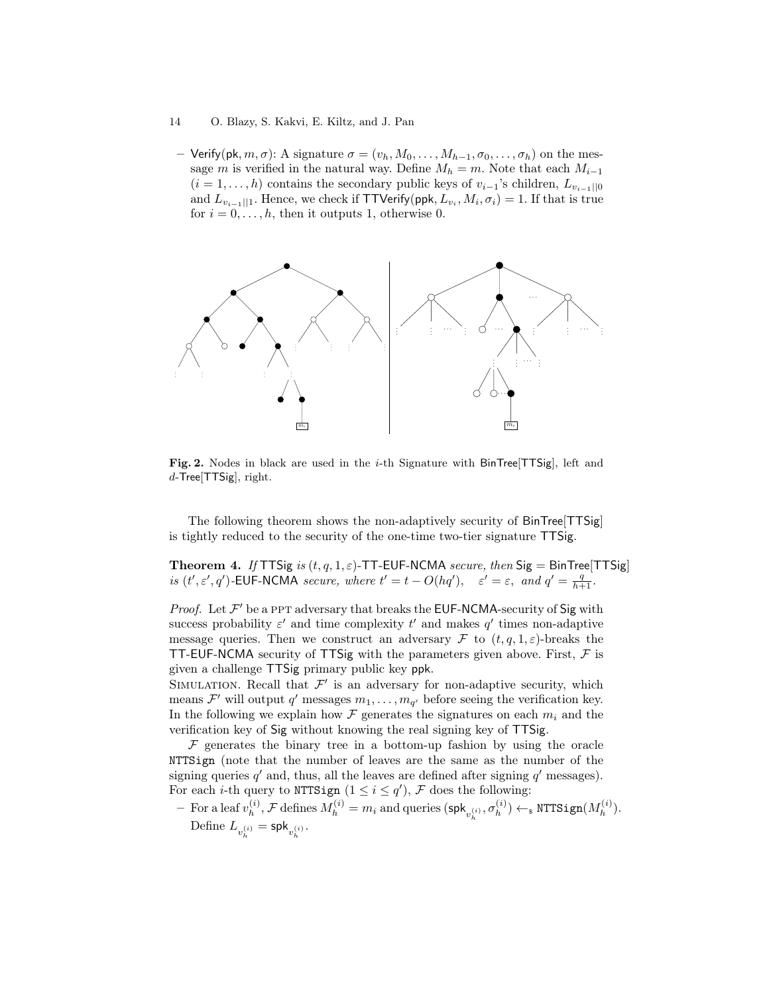#### 14 O. Blazy, S. Kakvi, E. Kiltz, and J. Pan

– Verify(pk, m,  $\sigma$ ): A signature  $\sigma = (v_h, M_0, \ldots, M_{h-1}, \sigma_0, \ldots, \sigma_h)$  on the message m is verified in the natural way. Define  $M_h = m$ . Note that each  $M_{i-1}$  $(i = 1, \ldots, h)$  contains the secondary public keys of  $v_{i-1}$ 's children,  $L_{v_{i-1}||0}$ and  $L_{v_{i-1}||1}$ . Hence, we check if TTVerify(ppk,  $L_{v_i}, M_i, \sigma_i) = 1$ . If that is true for  $i = 0, \ldots, h$ , then it outputs 1, otherwise 0.



<span id="page-13-0"></span>Fig. 2. Nodes in black are used in the  $i$ -th Signature with BinTree[TTSig], left and  $d$ -Tree[TTSig], right.

The following theorem shows the non-adaptively security of BinTree[TTSig] is tightly reduced to the security of the one-time two-tier signature TTSig.

<span id="page-13-1"></span>Theorem 4. If TTSig is  $(t, q, 1, \varepsilon)$ -TT-EUF-NCMA secure, then Sig = BinTree[TTSig] is  $(t', \varepsilon', q')$ -EUF-NCMA secure, where  $t' = t - O(hq')$ ,  $\varepsilon' = \varepsilon$ , and  $q' = \frac{q}{h+1}$ .

*Proof.* Let  $\mathcal{F}'$  be a PPT adversary that breaks the EUF-NCMA-security of Sig with success probability  $\varepsilon'$  and time complexity  $t'$  and makes  $q'$  times non-adaptive message queries. Then we construct an adversary F to  $(t, q, 1, \varepsilon)$ -breaks the TT-EUF-NCMA security of TTSig with the parameters given above. First,  $F$  is given a challenge TTSig primary public key ppk.

SIMULATION. Recall that  $\mathcal{F}'$  is an adversary for non-adaptive security, which means  $\mathcal{F}'$  will output  $q'$  messages  $m_1, \ldots, m_{q'}$  before seeing the verification key. In the following we explain how  $\mathcal F$  generates the signatures on each  $m_i$  and the verification key of Sig without knowing the real signing key of TTSig.

 $F$  generates the binary tree in a bottom-up fashion by using the oracle NTTSign (note that the number of leaves are the same as the number of the signing queries  $q'$  and, thus, all the leaves are defined after signing  $q'$  messages). For each *i*-th query to NTTSign  $(1 \leq i \leq q')$ , F does the following:

- For a leaf  $v_h^{(i)}$  $\mathcal{M}_h^{(i)}$ ,  $\mathcal F$  defines  $M_h^{(i)}=m_i$  and queries  $(\mathsf{spk}_{v_h^{(i)}}, \sigma_h^{(i)})$  $\mathcal{H}_h^{(i)}) \leftarrow_\$ \text{NTTSign}(M_h^{(i)})$  $\binom{v}{h}$ . Define  $L_{v_h^{(i)}} = \mathsf{spk}_{v_h^{(i)}}$ .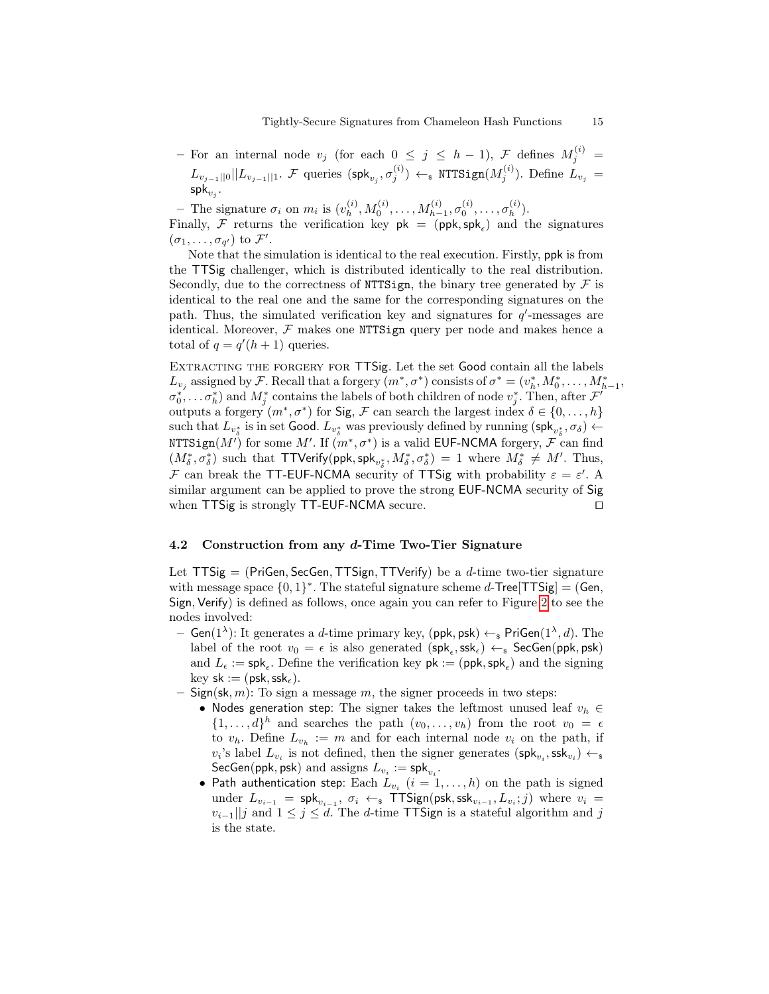$-$  For an internal node  $v_j$  (for each 0 ≤ j ≤ h - 1),  $\mathcal{F}$  defines  $M_j^{(i)}$  =  $L_{v_{j-1}||0}||L_{v_{j-1}||1}$ .  ${\cal F}$  queries  $({\sf spk}_{v_j},\sigma_j^{(i)}) \leftarrow_{\rm \bf \$} {\tt NTSign}(M_j^{(i)}).$  Define  $L_{v_j}=$  $\mathsf{spk}_{v_j}.$ 

– The signature  $\sigma_i$  on  $m_i$  is  $(v_h^{(i)})$  $h^{(i)}, M_0^{(i)}, \ldots, M_{h-1}^{(i)}, \sigma_0^{(i)}, \ldots, \sigma_h^{(i)}$  $\binom{v}{h}$ .

Finally, F returns the verification key  $pk = (ppk, spk_{\epsilon})$  and the signatures  $(\sigma_1, \ldots, \sigma_{q'})$  to  $\mathcal{F}'.$ 

Note that the simulation is identical to the real execution. Firstly, ppk is from the TTSig challenger, which is distributed identically to the real distribution. Secondly, due to the correctness of NTTSign, the binary tree generated by  $\mathcal F$  is identical to the real one and the same for the corresponding signatures on the path. Thus, the simulated verification key and signatures for  $q'$ -messages are identical. Moreover,  $F$  makes one NTTSign query per node and makes hence a total of  $q = q'(h + 1)$  queries.

EXTRACTING THE FORGERY FOR TTSig. Let the set Good contain all the labels  $L_{v_j}$  assigned by F. Recall that a forgery  $(m^*, \sigma^*)$  consists of  $\sigma^* = (v_h^*, M_0^*, \ldots, M_{h-1}^*,$  $(\sigma_0^*, \ldots \sigma_h^*)$  and  $M_j^*$  contains the labels of both children of node  $v_j^*$ . Then, after  $\mathcal{F}^t$ outputs a forgery  $(m^*, \sigma^*)$  for Sig, F can search the largest index  $\delta \in \{0, \ldots, h\}$ such that  $L_{v_{\delta}^*}$  is in set Good.  $L_{v_{\delta}^*}$  was previously defined by running  $(\mathsf{spk}_{v_{\delta}^*}, \sigma_{\delta}) \leftarrow$ <code>NTTSign( $M'$ )</code> for some  $M'.$  If  $(m^*, \sigma^*)$  is a valid <code>EUF-NCMA</code> forgery,  ${\mathcal F}$  can find  $(M^*_\delta, \sigma^*_\delta)$  such that TTVerify(ppk, spk<sub>v<sup>\*</sup></sub>,  $M^*_\delta, \sigma^*_\delta) = 1$  where  $M^*_\delta \neq M'$ . Thus, F can break the TT-EUF-NCMA security of TTSig with probability  $\varepsilon = \varepsilon'$ . A similar argument can be applied to prove the strong EUF-NCMA security of Sig when  $TTSig$  is strongly  $TT$ -EUF-NCMA secure.  $\Box$ 

## <span id="page-14-0"></span>4.2 Construction from any d-Time Two-Tier Signature

Let  $TTSig = (PriGen, SecGen, TTSign, TTVerify)$  be a *d*-time two-tier signature with message space  $\{0,1\}^*$ . The stateful signature scheme d-Tree [TTSig] = (Gen, Sign, Verify) is defined as follows, once again you can refer to Figure [2](#page-13-0) to see the nodes involved:

- Gen(1<sup> $\lambda$ </sup>): It generates a *d*-time primary key, (ppk, psk)  $\leftarrow$  PriGen(1<sup> $\lambda$ </sup>, *d*). The label of the root  $v_0 = \epsilon$  is also generated  $(\textsf{spk}_{\epsilon}, \textsf{ssk}_{\epsilon}) \leftarrow_{\textsf{s}} \textsf{SecGen}(\textsf{ppk}, \textsf{psk})$ and  $L_{\epsilon} := \mathsf{spk}_{\epsilon}$ . Define the verification key  $\mathsf{pk} := (\mathsf{ppk}, \mathsf{spk}_{\epsilon})$  and the signing  $key$  sk := (psk, ssk,).
- Sign(sk, m): To sign a message m, the signer proceeds in two steps:
	- Nodes generation step: The signer takes the leftmost unused leaf  $v_h \in$  $\{1,\ldots,d\}^h$  and searches the path  $(v_0,\ldots,v_h)$  from the root  $v_0 = \epsilon$ to  $v_h$ . Define  $L_{v_h} := m$  and for each internal node  $v_i$  on the path, if  $v_i$ 's label  $L_{v_i}$  is not defined, then the signer generates  $(\textsf{spk}_{v_i}, \textsf{ssk}_{v_i}) \leftarrow$ SecGen(ppk, psk) and assigns  $L_{v_i} := \mathsf{spk}_{v_i}.$
	- Path authentication step: Each  $L_{v_i}$   $(i = 1, \ldots, h)$  on the path is signed under  $L_{v_{i-1}} = \mathsf{spk}_{v_{i-1}}, \sigma_i \leftarrow_{\mathsf{s}} \mathsf{TTSign}(\mathsf{psk},\mathsf{ssk}_{v_{i-1}}, L_{v_i}; j)$  where  $v_i =$  $v_{i-1}$ ||j and  $1 \leq j \leq d$ . The d-time TTSign is a stateful algorithm and j is the state.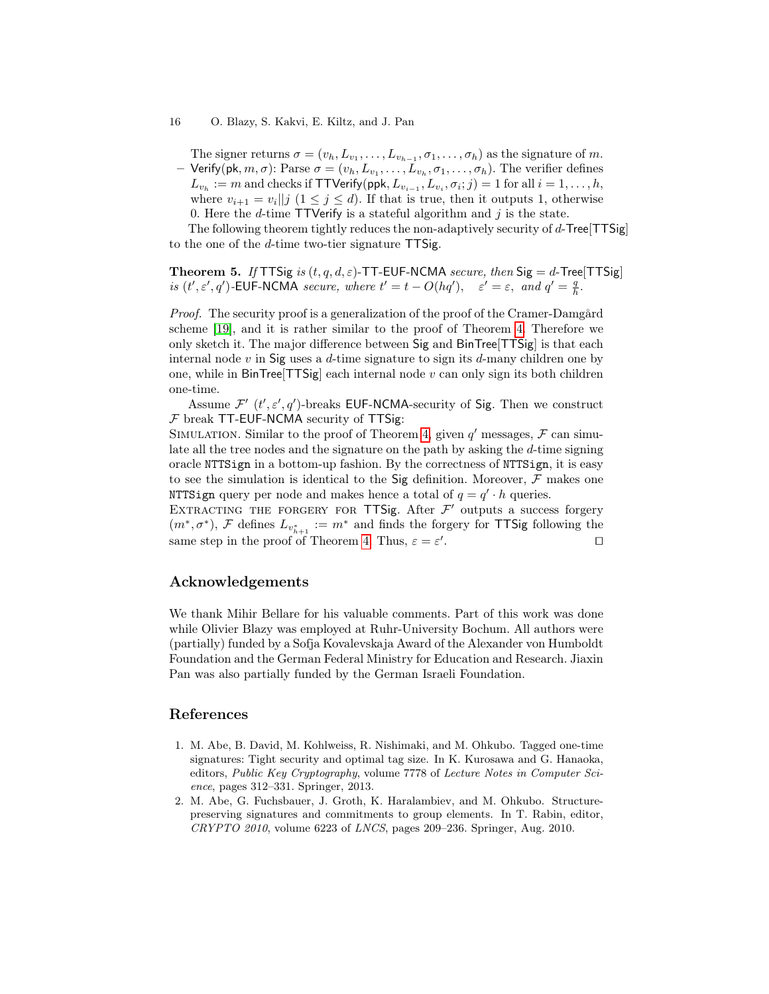#### 16 O. Blazy, S. Kakvi, E. Kiltz, and J. Pan

The signer returns  $\sigma = (v_h, L_{v_1}, \dots, L_{v_{h-1}}, \sigma_1, \dots, \sigma_h)$  as the signature of m. - Verify(pk,  $m, \sigma$ ): Parse  $\sigma = (v_h, L_{v_1}, \ldots, L_{v_h}, \sigma_1, \ldots, \sigma_h)$ . The verifier defines  $L_{v_h} := m$  and checks if TTVerify(ppk,  $L_{v_{i-1}}, L_{v_i}, \sigma_i; j) = 1$  for all  $i = 1, \ldots, h$ , where  $v_{i+1} = v_i || j \ (1 \leq j \leq d)$ . If that is true, then it outputs 1, otherwise 0. Here the *d*-time  $TTV$ erify is a stateful algorithm and *j* is the state.

The following theorem tightly reduces the non-adaptively security of d-Tree[TTSig] to the one of the d-time two-tier signature TTSig.

**Theorem 5.** If TTSig is  $(t, q, d, \varepsilon)$ -TT-EUF-NCMA secure, then Sig = d-Tree[TTSig] is  $(t', \varepsilon', q')$ -EUF-NCMA secure, where  $t' = t - O(hq'), \quad \varepsilon' = \varepsilon, \text{ and } q' = \frac{q}{h}.$ 

Proof. The security proof is a generalization of the proof of the Cramer-Damgård scheme [\[19\]](#page-16-8), and it is rather similar to the proof of Theorem [4.](#page-13-1) Therefore we only sketch it. The major difference between Sig and BinTree[TTSig] is that each internal node  $v$  in Sig uses a  $d$ -time signature to sign its  $d$ -many children one by one, while in  $\text{BinTree}[TTSig]$  each internal node v can only sign its both children one-time.

Assume  $\mathcal{F}'$  (t',  $\varepsilon'$ , q')-breaks EUF-NCMA-security of Sig. Then we construct  $F$  break TT-EUF-NCMA security of TTSig:

SIMULATION. Similar to the proof of Theorem [4,](#page-13-1) given  $q'$  messages,  $\mathcal F$  can simulate all the tree nodes and the signature on the path by asking the d-time signing oracle NTTSign in a bottom-up fashion. By the correctness of NTTSign, it is easy to see the simulation is identical to the Sig definition. Moreover,  $\mathcal F$  makes one NTTSign query per node and makes hence a total of  $q = q' \cdot h$  queries.

EXTRACTING THE FORGERY FOR TTSig. After  $\mathcal{F}'$  outputs a success forgery  $(m^*, \sigma^*)$ , F defines  $L_{v_{h+1}^*} := m^*$  and finds the forgery for TTSig following the same step in the proof of Theorem [4.](#page-13-1) Thus,  $\varepsilon = \varepsilon'$ . The contract of  $\Box$ 

# Acknowledgements

We thank Mihir Bellare for his valuable comments. Part of this work was done while Olivier Blazy was employed at Ruhr-University Bochum. All authors were (partially) funded by a Sofja Kovalevskaja Award of the Alexander von Humboldt Foundation and the German Federal Ministry for Education and Research. Jiaxin Pan was also partially funded by the German Israeli Foundation.

# References

- <span id="page-15-1"></span>1. M. Abe, B. David, M. Kohlweiss, R. Nishimaki, and M. Ohkubo. Tagged one-time signatures: Tight security and optimal tag size. In K. Kurosawa and G. Hanaoka, editors, Public Key Cryptography, volume 7778 of Lecture Notes in Computer Science, pages 312–331. Springer, 2013.
- <span id="page-15-0"></span>2. M. Abe, G. Fuchsbauer, J. Groth, K. Haralambiev, and M. Ohkubo. Structurepreserving signatures and commitments to group elements. In T. Rabin, editor, CRYPTO 2010, volume 6223 of LNCS, pages 209–236. Springer, Aug. 2010.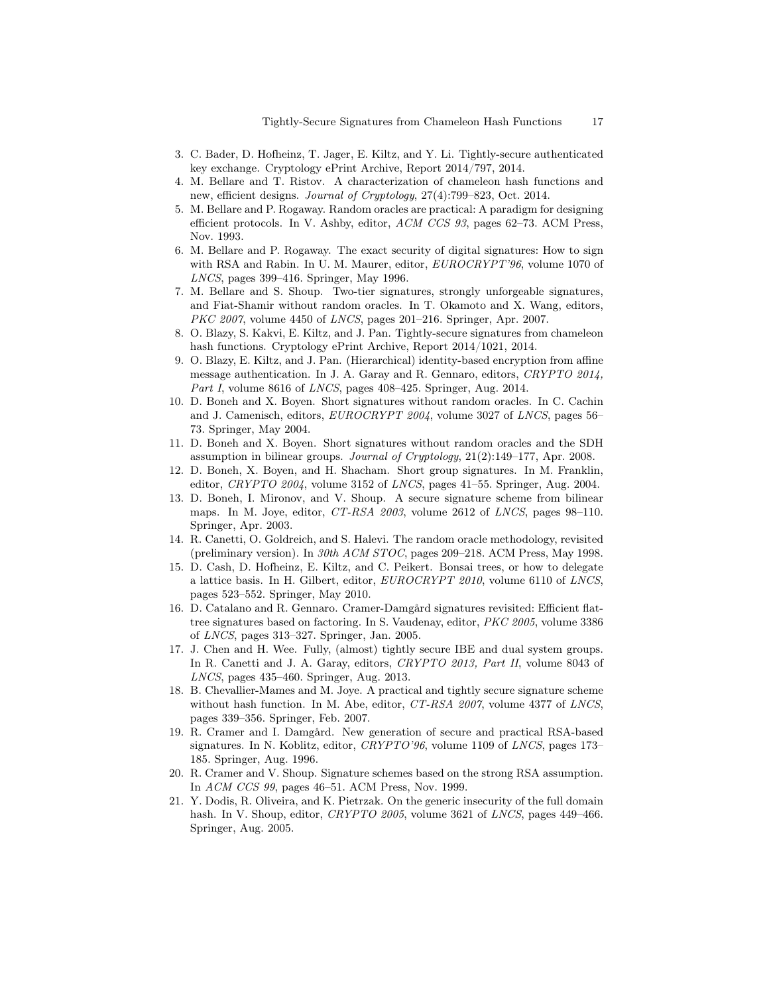- <span id="page-16-17"></span>3. C. Bader, D. Hofheinz, T. Jager, E. Kiltz, and Y. Li. Tightly-secure authenticated key exchange. Cryptology ePrint Archive, Report 2014/797, 2014.
- <span id="page-16-13"></span>4. M. Bellare and T. Ristov. A characterization of chameleon hash functions and new, efficient designs. Journal of Cryptology, 27(4):799–823, Oct. 2014.
- <span id="page-16-1"></span>5. M. Bellare and P. Rogaway. Random oracles are practical: A paradigm for designing efficient protocols. In V. Ashby, editor, ACM CCS 93, pages 62–73. ACM Press, Nov. 1993.
- <span id="page-16-0"></span>6. M. Bellare and P. Rogaway. The exact security of digital signatures: How to sign with RSA and Rabin. In U. M. Maurer, editor, *EUROCRYPT'96*, volume 1070 of LNCS, pages 399–416. Springer, May 1996.
- <span id="page-16-14"></span>7. M. Bellare and S. Shoup. Two-tier signatures, strongly unforgeable signatures, and Fiat-Shamir without random oracles. In T. Okamoto and X. Wang, editors, PKC 2007, volume 4450 of LNCS, pages 201–216. Springer, Apr. 2007.
- <span id="page-16-16"></span>8. O. Blazy, S. Kakvi, E. Kiltz, and J. Pan. Tightly-secure signatures from chameleon hash functions. Cryptology ePrint Archive, Report 2014/1021, 2014.
- <span id="page-16-11"></span>9. O. Blazy, E. Kiltz, and J. Pan. (Hierarchical) identity-based encryption from affine message authentication. In J. A. Garay and R. Gennaro, editors, CRYPTO 2014, Part I, volume 8616 of LNCS, pages 408-425. Springer, Aug. 2014.
- <span id="page-16-6"></span>10. D. Boneh and X. Boyen. Short signatures without random oracles. In C. Cachin and J. Camenisch, editors, EUROCRYPT 2004, volume 3027 of LNCS, pages 56– 73. Springer, May 2004.
- <span id="page-16-15"></span>11. D. Boneh and X. Boyen. Short signatures without random oracles and the SDH assumption in bilinear groups. Journal of Cryptology, 21(2):149–177, Apr. 2008.
- <span id="page-16-18"></span>12. D. Boneh, X. Boyen, and H. Shacham. Short group signatures. In M. Franklin, editor,  $CRYPTO$  2004, volume 3152 of LNCS, pages 41–55. Springer, Aug. 2004.
- <span id="page-16-10"></span>13. D. Boneh, I. Mironov, and V. Shoup. A secure signature scheme from bilinear maps. In M. Joye, editor, CT-RSA 2003, volume 2612 of LNCS, pages 98–110. Springer, Apr. 2003.
- <span id="page-16-2"></span>14. R. Canetti, O. Goldreich, and S. Halevi. The random oracle methodology, revisited (preliminary version). In 30th ACM STOC, pages 209–218. ACM Press, May 1998.
- <span id="page-16-7"></span>15. D. Cash, D. Hofheinz, E. Kiltz, and C. Peikert. Bonsai trees, or how to delegate a lattice basis. In H. Gilbert, editor, EUROCRYPT 2010, volume 6110 of LNCS, pages 523–552. Springer, May 2010.
- <span id="page-16-9"></span>16. D. Catalano and R. Gennaro. Cramer-Damgård signatures revisited: Efficient flattree signatures based on factoring. In S. Vaudenay, editor, PKC 2005, volume 3386 of LNCS, pages 313–327. Springer, Jan. 2005.
- <span id="page-16-12"></span>17. J. Chen and H. Wee. Fully, (almost) tightly secure IBE and dual system groups. In R. Canetti and J. A. Garay, editors, CRYPTO 2013, Part II, volume 8043 of LNCS, pages 435–460. Springer, Aug. 2013.
- <span id="page-16-4"></span>18. B. Chevallier-Mames and M. Joye. A practical and tightly secure signature scheme without hash function. In M. Abe, editor, CT-RSA 2007, volume 4377 of LNCS, pages 339–356. Springer, Feb. 2007.
- <span id="page-16-8"></span>19. R. Cramer and I. Damgård. New generation of secure and practical RSA-based signatures. In N. Koblitz, editor, CRYPTO'96, volume 1109 of LNCS, pages 173– 185. Springer, Aug. 1996.
- <span id="page-16-5"></span>20. R. Cramer and V. Shoup. Signature schemes based on the strong RSA assumption. In ACM CCS 99, pages 46–51. ACM Press, Nov. 1999.
- <span id="page-16-3"></span>21. Y. Dodis, R. Oliveira, and K. Pietrzak. On the generic insecurity of the full domain hash. In V. Shoup, editor, CRYPTO 2005, volume 3621 of LNCS, pages 449–466. Springer, Aug. 2005.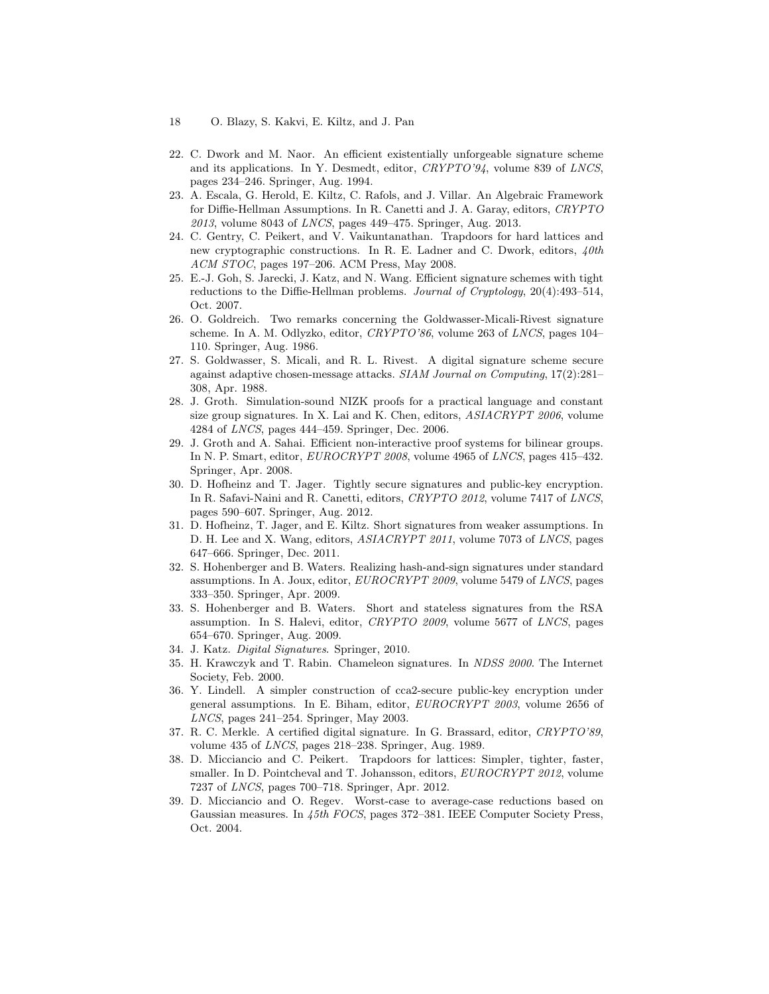- 18 O. Blazy, S. Kakvi, E. Kiltz, and J. Pan
- <span id="page-17-2"></span>22. C. Dwork and M. Naor. An efficient existentially unforgeable signature scheme and its applications. In Y. Desmedt, editor, CRYPTO'94, volume 839 of LNCS, pages 234–246. Springer, Aug. 1994.
- <span id="page-17-10"></span>23. A. Escala, G. Herold, E. Kiltz, C. Rafols, and J. Villar. An Algebraic Framework for Diffie-Hellman Assumptions. In R. Canetti and J. A. Garay, editors, CRYPTO 2013, volume 8043 of LNCS, pages 449–475. Springer, Aug. 2013.
- <span id="page-17-14"></span>24. C. Gentry, C. Peikert, and V. Vaikuntanathan. Trapdoors for hard lattices and new cryptographic constructions. In R. E. Ladner and C. Dwork, editors,  $\sqrt{4}$ th ACM STOC, pages 197–206. ACM Press, May 2008.
- <span id="page-17-0"></span>25. E.-J. Goh, S. Jarecki, J. Katz, and N. Wang. Efficient signature schemes with tight reductions to the Diffie-Hellman problems. Journal of Cryptology, 20(4):493–514, Oct. 2007.
- <span id="page-17-11"></span>26. O. Goldreich. Two remarks concerning the Goldwasser-Micali-Rivest signature scheme. In A. M. Odlyzko, editor, CRYPTO'86, volume 263 of LNCS, pages 104– 110. Springer, Aug. 1986.
- <span id="page-17-1"></span>27. S. Goldwasser, S. Micali, and R. L. Rivest. A digital signature scheme secure against adaptive chosen-message attacks. SIAM Journal on Computing, 17(2):281– 308, Apr. 1988.
- <span id="page-17-17"></span>28. J. Groth. Simulation-sound NIZK proofs for a practical language and constant size group signatures. In X. Lai and K. Chen, editors, ASIACRYPT 2006, volume 4284 of LNCS, pages 444–459. Springer, Dec. 2006.
- <span id="page-17-15"></span>29. J. Groth and A. Sahai. Efficient non-interactive proof systems for bilinear groups. In N. P. Smart, editor, EUROCRYPT 2008, volume 4965 of LNCS, pages 415–432. Springer, Apr. 2008.
- <span id="page-17-6"></span>30. D. Hofheinz and T. Jager. Tightly secure signatures and public-key encryption. In R. Safavi-Naini and R. Canetti, editors, CRYPTO 2012, volume 7417 of LNCS, pages 590–607. Springer, Aug. 2012.
- <span id="page-17-4"></span>31. D. Hofheinz, T. Jager, and E. Kiltz. Short signatures from weaker assumptions. In D. H. Lee and X. Wang, editors, ASIACRYPT 2011, volume 7073 of LNCS, pages 647–666. Springer, Dec. 2011.
- <span id="page-17-3"></span>32. S. Hohenberger and B. Waters. Realizing hash-and-sign signatures under standard assumptions. In A. Joux, editor, EUROCRYPT 2009, volume 5479 of LNCS, pages 333–350. Springer, Apr. 2009.
- <span id="page-17-9"></span>33. S. Hohenberger and B. Waters. Short and stateless signatures from the RSA assumption. In S. Halevi, editor, CRYPTO 2009, volume 5677 of LNCS, pages 654–670. Springer, Aug. 2009.
- <span id="page-17-12"></span>34. J. Katz. Digital Signatures. Springer, 2010.
- <span id="page-17-7"></span>35. H. Krawczyk and T. Rabin. Chameleon signatures. In NDSS 2000. The Internet Society, Feb. 2000.
- <span id="page-17-16"></span>36. Y. Lindell. A simpler construction of cca2-secure public-key encryption under general assumptions. In E. Biham, editor, EUROCRYPT 2003, volume 2656 of LNCS, pages 241–254. Springer, May 2003.
- <span id="page-17-8"></span>37. R. C. Merkle. A certified digital signature. In G. Brassard, editor, CRYPTO'89, volume 435 of LNCS, pages 218–238. Springer, Aug. 1989.
- <span id="page-17-5"></span>38. D. Micciancio and C. Peikert. Trapdoors for lattices: Simpler, tighter, faster, smaller. In D. Pointcheval and T. Johansson, editors, EUROCRYPT 2012, volume 7237 of LNCS, pages 700–718. Springer, Apr. 2012.
- <span id="page-17-13"></span>39. D. Micciancio and O. Regev. Worst-case to average-case reductions based on Gaussian measures. In 45th FOCS, pages 372–381. IEEE Computer Society Press, Oct. 2004.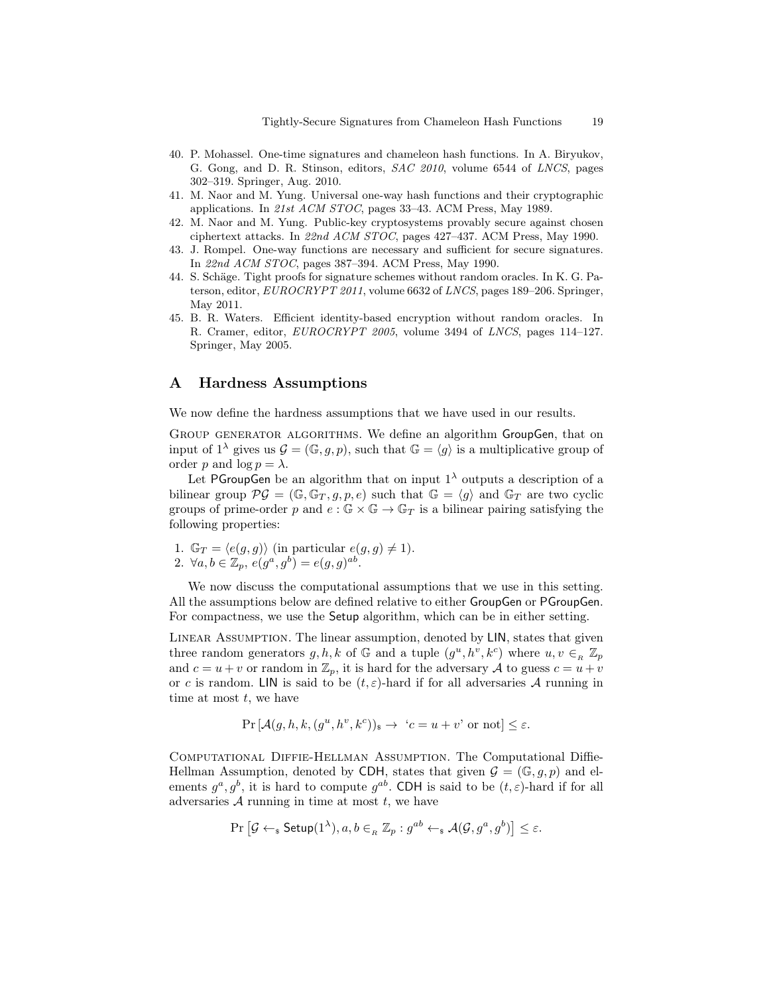- <span id="page-18-4"></span>40. P. Mohassel. One-time signatures and chameleon hash functions. In A. Biryukov, G. Gong, and D. R. Stinson, editors, SAC 2010, volume 6544 of LNCS, pages 302–319. Springer, Aug. 2010.
- <span id="page-18-3"></span>41. M. Naor and M. Yung. Universal one-way hash functions and their cryptographic applications. In 21st ACM STOC, pages 33–43. ACM Press, May 1989.
- <span id="page-18-6"></span>42. M. Naor and M. Yung. Public-key cryptosystems provably secure against chosen ciphertext attacks. In 22nd ACM STOC, pages 427–437. ACM Press, May 1990.
- <span id="page-18-1"></span>43. J. Rompel. One-way functions are necessary and sufficient for secure signatures. In 22nd ACM STOC, pages 387–394. ACM Press, May 1990.
- <span id="page-18-0"></span>44. S. Schäge. Tight proofs for signature schemes without random oracles. In K. G. Paterson, editor, EUROCRYPT 2011, volume 6632 of LNCS, pages 189–206. Springer, May 2011.
- <span id="page-18-2"></span>45. B. R. Waters. Efficient identity-based encryption without random oracles. In R. Cramer, editor, EUROCRYPT 2005, volume 3494 of LNCS, pages 114–127. Springer, May 2005.

# <span id="page-18-5"></span>A Hardness Assumptions

We now define the hardness assumptions that we have used in our results.

Group generator algorithms. We define an algorithm GroupGen, that on input of  $1^{\lambda}$  gives us  $\mathcal{G} = (\mathbb{G}, g, p)$ , such that  $\mathbb{G} = \langle g \rangle$  is a multiplicative group of order p and  $\log p = \lambda$ .

Let PGroupGen be an algorithm that on input  $1^{\lambda}$  outputs a description of a bilinear group  $\mathcal{PG} = (\mathbb{G}, \mathbb{G}_T, g, p, e)$  such that  $\mathbb{G} = \langle g \rangle$  and  $\mathbb{G}_T$  are two cyclic groups of prime-order p and  $e : \mathbb{G} \times \mathbb{G} \to \mathbb{G}$  is a bilinear pairing satisfying the following properties:

- 1.  $\mathbb{G}_T = \langle e(g, g) \rangle$  (in particular  $e(g, g) \neq 1$ ).
- 2.  $\forall a, b \in \mathbb{Z}_p, e(g^a, g^b) = e(g, g)^{ab}$ .

We now discuss the computational assumptions that we use in this setting. All the assumptions below are defined relative to either GroupGen or PGroupGen. For compactness, we use the Setup algorithm, which can be in either setting.

Linear Assumption. The linear assumption, denoted by LIN, states that given three random generators  $g, h, k$  of  $\mathbb{G}$  and a tuple  $(g^u, h^v, k^c)$  where  $u, v \in_R \mathbb{Z}_p$ and  $c = u + v$  or random in  $\mathbb{Z}_p$ , it is hard for the adversary A to guess  $c = u + v$ or c is random. LIN is said to be  $(t, \varepsilon)$ -hard if for all adversaries A running in time at most  $t$ , we have

$$
\Pr\left[\mathcal{A}(g,h,k,(g^u,h^v,k^c))_{\$}\to\ 'c=u+v'\text{ or not}\right]\leq\varepsilon.
$$

Computational Diffie-Hellman Assumption. The Computational Diffie-Hellman Assumption, denoted by CDH, states that given  $\mathcal{G} = (\mathbb{G}, g, p)$  and elements  $g^a, g^b$ , it is hard to compute  $g^{ab}$ . CDH is said to be  $(t, \varepsilon)$ -hard if for all adversaries  $A$  running in time at most  $t$ , we have

$$
\Pr\left[\mathcal{G} \leftarrow_{\textbf{s}} \textsf{Setup}(1^{\lambda}), a, b \in_{\textit{R}} \mathbb{Z}_p : g^{ab} \leftarrow_{\textbf{s}} \mathcal{A}(\mathcal{G}, g^a, g^b)\right] \leq \varepsilon.
$$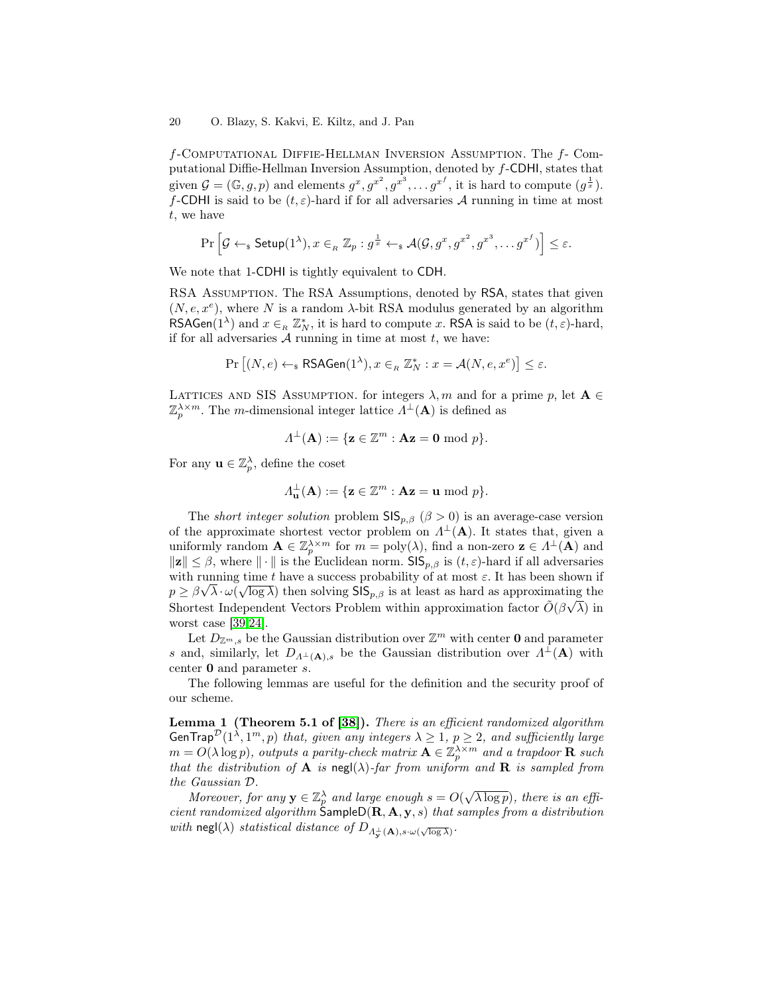f-Computational Diffie-Hellman Inversion Assumption. The f- Computational Diffie-Hellman Inversion Assumption, denoted by f-CDHI, states that given  $\mathcal{G} = (\mathbb{G}, g, p)$  and elements  $g^x, g^{x^2}, g^{x^3}, \ldots, g^{x^f}$ , it is hard to compute  $(g^{\frac{1}{x}})$ . f-CDHI is said to be  $(t, \varepsilon)$ -hard if for all adversaries A running in time at most t, we have

$$
\Pr\left[\mathcal{G} \leftarrow_\$ \mathsf{Setup}(1^\lambda), x \in_{\scriptscriptstyle R} \mathbb{Z}_p : g^\frac{1}{x} \leftarrow_\$ \mathcal{A}(\mathcal{G}, g^x, g^{x^2}, g^{x^3}, \ldots g^{x^f})\right] \leq \varepsilon.
$$

We note that 1-CDHI is tightly equivalent to CDH.

RSA Assumption. The RSA Assumptions, denoted by RSA, states that given  $(N, e, x^e)$ , where N is a random  $\lambda$ -bit RSA modulus generated by an algorithm RSAGen(1<sup> $\lambda$ </sup>) and  $x \in R \mathbb{Z}_N^*$ , it is hard to compute x. RSA is said to be  $(t, \varepsilon)$ -hard, if for all adversaries  $A$  running in time at most  $t$ , we have:

$$
\Pr\left[(N,e) \leftarrow_\$ \text{RSAGen}(1^\lambda), x \in_{\scriptscriptstyle R} \mathbb{Z}_N^*: x = \mathcal{A}(N,e,x^e) \right] \leq \varepsilon.
$$

LATTICES AND SIS ASSUMPTION. for integers  $\lambda$ , m and for a prime p, let  $\mathbf{A} \in$  $\mathbb{Z}_p^{\lambda \times m}$ . The *m*-dimensional integer lattice  $\Lambda^{\perp}(\mathbf{A})$  is defined as

$$
\Lambda^{\perp}(\mathbf{A}) := \{ \mathbf{z} \in \mathbb{Z}^m : \mathbf{A}\mathbf{z} = \mathbf{0} \bmod p \}.
$$

For any  $\mathbf{u} \in \mathbb{Z}_p^{\lambda}$ , define the coset

$$
\Lambda_{\mathbf{u}}^{\perp}(\mathbf{A}) := \{ \mathbf{z} \in \mathbb{Z}^m : \mathbf{A}\mathbf{z} = \mathbf{u} \bmod p \}.
$$

The *short integer solution* problem  $\text{SIS}_{p,\beta}$  ( $\beta > 0$ ) is an average-case version of the approximate shortest vector problem on  $\Lambda^{\perp}(\mathbf{A})$ . It states that, given a uniformly random  $\mathbf{A} \in \mathbb{Z}_p^{\lambda \times m}$  for  $m = \text{poly}(\lambda)$ , find a non-zero  $\mathbf{z} \in \Lambda^{\perp}(\mathbf{A})$  and  $\|\mathbf{z}\| \leq \beta$ , where  $\|\cdot\|$  is the Euclidean norm. SIS<sub>p, $\beta$ </sub> is  $(t, \varepsilon)$ -hard if all adversaries with running time t have a success probability of at most  $\varepsilon$ . It has been shown if  $p \ge \beta \sqrt{\lambda} \cdot \omega(\sqrt{\log \lambda})$  then solving  $\textsf{SIS}_{p,\beta}$  is at least as hard as approximating the Shortest Independent Vectors Problem within approximation factor  $\tilde{O}(\beta\sqrt{\lambda})$  in worst case [\[39](#page-17-13)[,24\]](#page-17-14).

Let  $D_{\mathbb{Z}^m,s}$  be the Gaussian distribution over  $\mathbb{Z}^m$  with center **0** and parameter s and, similarly, let  $D_{\Lambda^{\perp}({\bf A}),s}$  be the Gaussian distribution over  $\Lambda^{\perp}({\bf A})$  with center 0 and parameter s.

The following lemmas are useful for the definition and the security proof of our scheme.

<span id="page-19-0"></span>Lemma 1 (Theorem 5.1 of [\[38\]](#page-17-5)). There is an efficient randomized algorithm GenTrap<sup>D</sup>(1<sup> $\lambda$ </sup>, 1<sup>m</sup>, p) that, given any integers  $\lambda \geq 1$ ,  $p \geq 2$ , and sufficiently large  $m = O(\lambda \log p)$ , outputs a parity-check matrix  $\mathbf{A} \in \mathbb{Z}_p^{\lambda \times m}$  and a trapdoor  $\mathbf{R}$  such that the distribution of **A** is negl( $\lambda$ )-far from uniform and **R** is sampled from the Gaussian D.

Gaussian D.<br>Moreover, for any  $y \in \mathbb{Z}_p^{\lambda}$  and large enough  $s = O(\sqrt{\lambda \log p})$ , there is an efficient randomized algorithm  $\textsf{SampleD}(\mathbf{R}, \mathbf{A}, \mathbf{y}, s)$  that samples from a distribution with negl( $\lambda$ ) statistical distance of  $D_{\Lambda_{\mathbf{y}}^{\perp}(\mathbf{A}),s\cdot\omega(\sqrt{\log\lambda})}$ .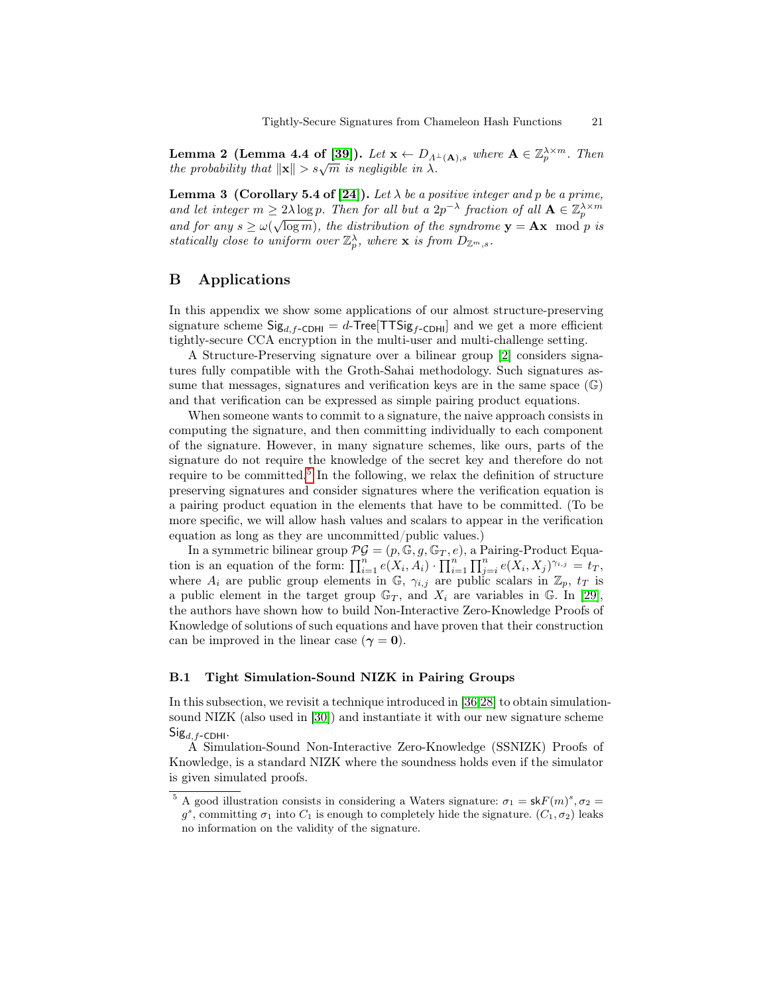<span id="page-20-1"></span>Lemma 2 (Lemma 4.4 of [\[39\]](#page-17-13)). Let  $\mathbf{x} \leftarrow D_{\Lambda^{\perp}(\mathbf{A}),s}$  where  $\mathbf{A} \in \mathbb{Z}_p^{\lambda \times m}$ . Then **Example 1.4 C** (**Bernifica** 4.4 **C** (**B**). Let  $\mathbf{x} \leftarrow D_A$ .<br>the probability that  $\|\mathbf{x}\| > s\sqrt{m}$  is negligible in  $\lambda$ .

<span id="page-20-2"></span>**Lemma 3** (Corollary 5.4 of [\[24\]](#page-17-14)). Let  $\lambda$  be a positive integer and p be a prime, and let integer  $m \geq 2\lambda \log p$ . Then for all but a  $2p^{-\lambda}$  fraction of all  $\mathbf{A} \in \mathbb{Z}_p^{\lambda \times m}$ and for any  $s \ge \omega(\sqrt{\log m})$ , the distribution of the syndrome  $y = Ax \mod p$  is statically close to uniform over  $\mathbb{Z}_p^{\lambda}$ , where **x** is from  $D_{\mathbb{Z}^m,s}$ .

# <span id="page-20-0"></span>B Applications

In this appendix we show some applications of our almost structure-preserving signature scheme  $\text{Sig}_{d,f\text{-CDHI}} = d\text{-Tree}[\text{TTSig}_{f\text{-CDHI}}]$  and we get a more efficient tightly-secure CCA encryption in the multi-user and multi-challenge setting.

A Structure-Preserving signature over a bilinear group [\[2\]](#page-15-0) considers signatures fully compatible with the Groth-Sahai methodology. Such signatures assume that messages, signatures and verification keys are in the same space  $(\mathbb{G})$ and that verification can be expressed as simple pairing product equations.

When someone wants to commit to a signature, the naive approach consists in computing the signature, and then committing individually to each component of the signature. However, in many signature schemes, like ours, parts of the signature do not require the knowledge of the secret key and therefore do not require to be committed.<sup>[5](#page-20-3)</sup> In the following, we relax the definition of structure preserving signatures and consider signatures where the verification equation is a pairing product equation in the elements that have to be committed. (To be more specific, we will allow hash values and scalars to appear in the verification equation as long as they are uncommitted/public values.)

In a symmetric bilinear group  $\mathcal{PG} = (p, \mathbb{G}, g, \mathbb{G}_T, e)$ , a Pairing-Product Equation is an equation of the form:  $\prod_{i=1}^n e(X_i, A_i) \cdot \prod_{i=1}^n \prod_{j=i}^n e(X_i, X_j)^{\gamma_{i,j}} = t_T$ , where  $A_i$  are public group elements in  $\mathbb{G}$ ,  $\gamma_{i,j}$  are public scalars in  $\mathbb{Z}_p$ ,  $t_T$  is a public element in the target group  $\mathbb{G}_T$ , and  $X_i$  are variables in  $\mathbb{G}$ . In [\[29\]](#page-17-15), the authors have shown how to build Non-Interactive Zero-Knowledge Proofs of Knowledge of solutions of such equations and have proven that their construction can be improved in the linear case ( $\gamma = 0$ ).

### B.1 Tight Simulation-Sound NIZK in Pairing Groups

In this subsection, we revisit a technique introduced in [\[36,](#page-17-16)[28\]](#page-17-17) to obtain simulationsound NIZK (also used in [\[30\]](#page-17-6)) and instantiate it with our new signature scheme  $Sig_{d,f-CDHI}.$ 

A Simulation-Sound Non-Interactive Zero-Knowledge (SSNIZK) Proofs of Knowledge, is a standard NIZK where the soundness holds even if the simulator is given simulated proofs.

<span id="page-20-3"></span><sup>&</sup>lt;sup>5</sup> A good illustration consists in considering a Waters signature:  $\sigma_1 = \textsf{sk}F(m)^s, \sigma_2 =$  $g^s$ , committing  $\sigma_1$  into  $C_1$  is enough to completely hide the signature.  $(C_1, \sigma_2)$  leaks

no information on the validity of the signature.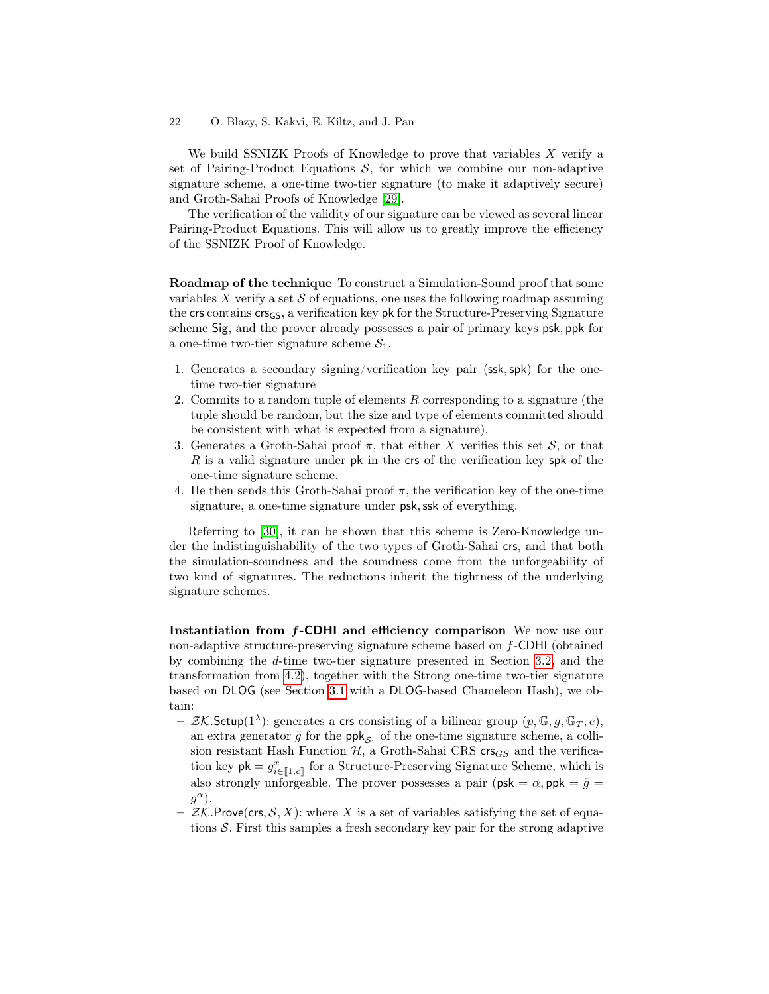We build SSNIZK Proofs of Knowledge to prove that variables X verify a set of Pairing-Product Equations  $S$ , for which we combine our non-adaptive signature scheme, a one-time two-tier signature (to make it adaptively secure) and Groth-Sahai Proofs of Knowledge [\[29\]](#page-17-15).

The verification of the validity of our signature can be viewed as several linear Pairing-Product Equations. This will allow us to greatly improve the efficiency of the SSNIZK Proof of Knowledge.

Roadmap of the technique To construct a Simulation-Sound proof that some variables X verify a set  $\mathcal S$  of equations, one uses the following roadmap assuming the crs contains crs<sub>GS</sub>, a verification key pk for the Structure-Preserving Signature scheme Sig, and the prover already possesses a pair of primary keys psk, ppk for a one-time two-tier signature scheme  $S_1$ .

- 1. Generates a secondary signing/verification key pair (ssk,spk) for the onetime two-tier signature
- 2. Commits to a random tuple of elements  $R$  corresponding to a signature (the tuple should be random, but the size and type of elements committed should be consistent with what is expected from a signature).
- 3. Generates a Groth-Sahai proof  $\pi$ , that either X verifies this set S, or that R is a valid signature under pk in the crs of the verification key spk of the one-time signature scheme.
- 4. He then sends this Groth-Sahai proof  $\pi$ , the verification key of the one-time signature, a one-time signature under psk, ssk of everything.

Referring to [\[30\]](#page-17-6), it can be shown that this scheme is Zero-Knowledge under the indistinguishability of the two types of Groth-Sahai crs, and that both the simulation-soundness and the soundness come from the unforgeability of two kind of signatures. The reductions inherit the tightness of the underlying signature schemes.

Instantiation from f-CDHI and efficiency comparison We now use our non-adaptive structure-preserving signature scheme based on f-CDHI (obtained by combining the d-time two-tier signature presented in Section [3.2,](#page-8-1) and the transformation from [4.2\)](#page-14-0), together with the Strong one-time two-tier signature based on DLOG (see Section [3.1](#page-7-0) with a DLOG-based Chameleon Hash), we obtain:

- $ZK$ . Setup(1<sup> $\lambda$ </sup>): generates a crs consisting of a bilinear group  $(p, \mathbb{G}, g, \mathbb{G}_T, e)$ , an extra generator  $\tilde{g}$  for the  $\mathsf{ppk}_{\mathcal{S}_1}$  of the one-time signature scheme, a collision resistant Hash Function  $H$ , a Groth-Sahai CRS crs $_{GS}$  and the verification key  $pk = g_{i \in [1,c]}^x$  for a Structure-Preserving Signature Scheme, which is also strongly unforgeable. The prover possesses a pair ( $psk = \alpha$ ,  $ppk = \tilde{g}$ )  $g^{\alpha}$ ).
- $-$  ZK.Prove(crs, S, X): where X is a set of variables satisfying the set of equations  $S$ . First this samples a fresh secondary key pair for the strong adaptive

<sup>22</sup> O. Blazy, S. Kakvi, E. Kiltz, and J. Pan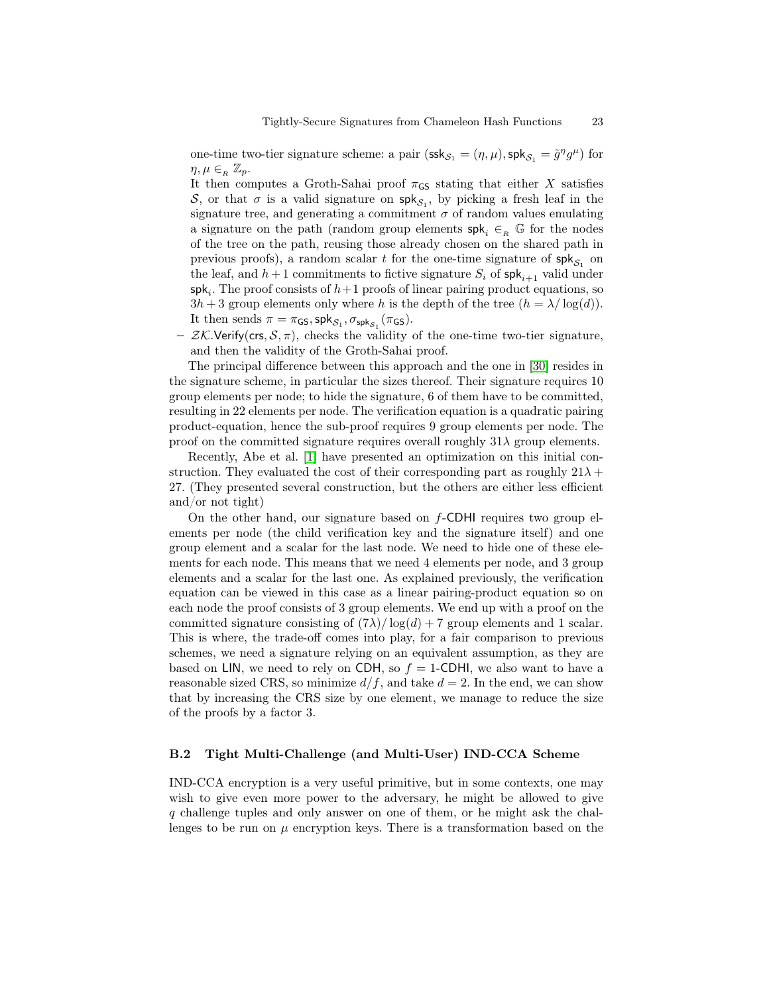one-time two-tier signature scheme: a pair  $(ssk_{S_1} = (\eta, \mu), \mathsf{spk}_{S_1} = \tilde{g}^{\eta} g^{\mu})$  for  $\eta, \mu \in_R \mathbb{Z}_p$ .

It then computes a Groth-Sahai proof  $\pi$ <sub>GS</sub> stating that either X satisfies S, or that  $\sigma$  is a valid signature on  $\mathsf{spk}_{S_1}$ , by picking a fresh leaf in the signature tree, and generating a commitment  $\sigma$  of random values emulating a signature on the path (random group elements  $\mathsf{spk}_i \in_R \mathbb{G}$  for the nodes of the tree on the path, reusing those already chosen on the shared path in previous proofs), a random scalar  $t$  for the one-time signature of  $\mathsf{spk}_{\mathcal{S}_1}$  on the leaf, and  $h+1$  commitments to fictive signature  $S_i$  of  $\mathsf{spk}_{i+1}$  valid under  ${\sf spk}_i$ . The proof consists of  $h+1$  proofs of linear pairing product equations, so  $3h + 3$  group elements only where h is the depth of the tree  $(h = \lambda / \log(d)).$ It then sends  $\pi = \pi_{\mathsf{GS}}, \mathsf{spk}_{\mathcal{S}_1}, \sigma_{\mathsf{spk}_{\mathcal{S}_1}}(\pi_{\mathsf{GS}}).$ 

–  $ZK$ . Verify(crs,  $S$ ,  $\pi$ ), checks the validity of the one-time two-tier signature, and then the validity of the Groth-Sahai proof.

The principal difference between this approach and the one in [\[30\]](#page-17-6) resides in the signature scheme, in particular the sizes thereof. Their signature requires 10 group elements per node; to hide the signature, 6 of them have to be committed, resulting in 22 elements per node. The verification equation is a quadratic pairing product-equation, hence the sub-proof requires 9 group elements per node. The proof on the committed signature requires overall roughly  $31\lambda$  group elements.

Recently, Abe et al. [\[1\]](#page-15-1) have presented an optimization on this initial construction. They evaluated the cost of their corresponding part as roughly  $21\lambda$  + 27. (They presented several construction, but the others are either less efficient and/or not tight)

On the other hand, our signature based on  $f$ -CDHI requires two group elements per node (the child verification key and the signature itself) and one group element and a scalar for the last node. We need to hide one of these elements for each node. This means that we need 4 elements per node, and 3 group elements and a scalar for the last one. As explained previously, the verification equation can be viewed in this case as a linear pairing-product equation so on each node the proof consists of 3 group elements. We end up with a proof on the committed signature consisting of  $(7\lambda)/\log(d) + 7$  group elements and 1 scalar. This is where, the trade-off comes into play, for a fair comparison to previous schemes, we need a signature relying on an equivalent assumption, as they are based on LIN, we need to rely on CDH, so  $f = 1$ -CDHI, we also want to have a reasonable sized CRS, so minimize  $d/f$ , and take  $d = 2$ . In the end, we can show that by increasing the CRS size by one element, we manage to reduce the size of the proofs by a factor 3.

### B.2 Tight Multi-Challenge (and Multi-User) IND-CCA Scheme

IND-CCA encryption is a very useful primitive, but in some contexts, one may wish to give even more power to the adversary, he might be allowed to give q challenge tuples and only answer on one of them, or he might ask the challenges to be run on  $\mu$  encryption keys. There is a transformation based on the